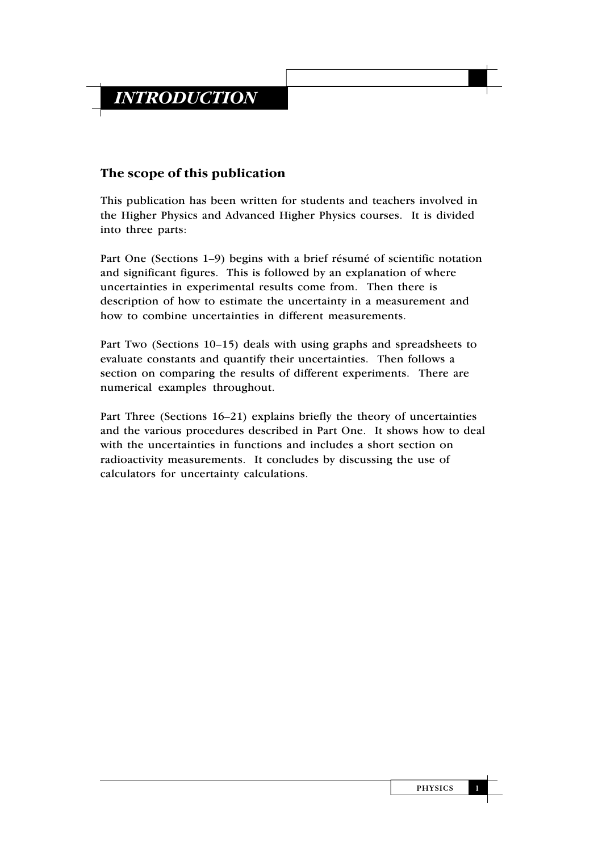# *INTRODUCTION*

# **The scope of this publication**

This publication has been written for students and teachers involved in the Higher Physics and Advanced Higher Physics courses. It is divided into three parts:

Part One (Sections 1–9) begins with a brief résumé of scientific notation and significant figures. This is followed by an explanation of where uncertainties in experimental results come from. Then there is description of how to estimate the uncertainty in a measurement and how to combine uncertainties in different measurements.

Part Two (Sections 10–15) deals with using graphs and spreadsheets to evaluate constants and quantify their uncertainties. Then follows a section on comparing the results of different experiments. There are numerical examples throughout.

Part Three (Sections 16–21) explains briefly the theory of uncertainties and the various procedures described in Part One. It shows how to deal with the uncertainties in functions and includes a short section on radioactivity measurements. It concludes by discussing the use of calculators for uncertainty calculations.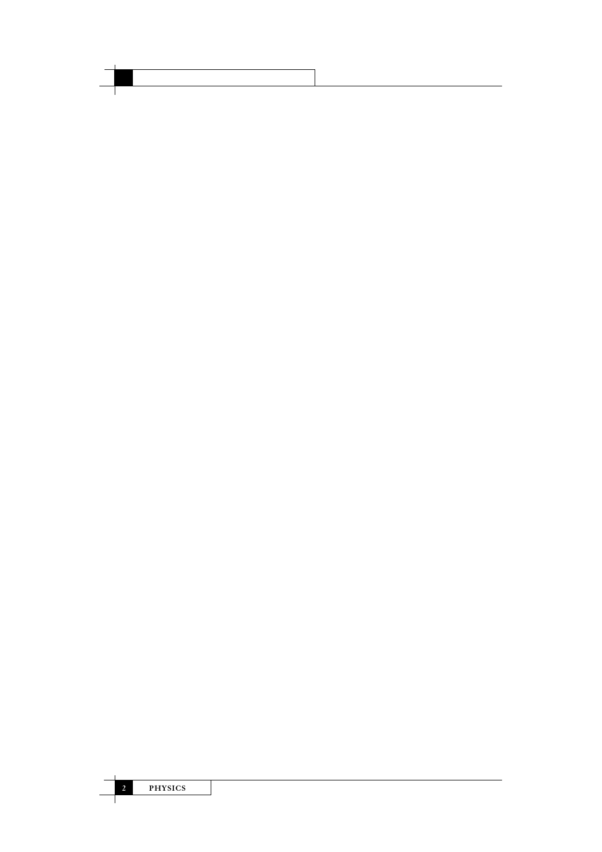| <b>PHYSICS</b> |  |
|----------------|--|
|                |  |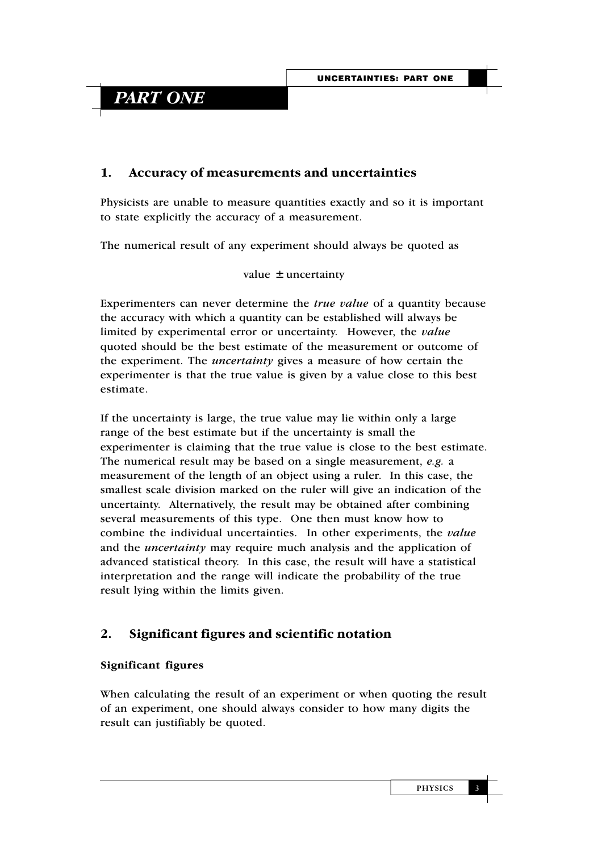# *PART ONE*

## **1. Accuracy of measurements and uncertainties**

Physicists are unable to measure quantities exactly and so it is important to state explicitly the accuracy of a measurement.

The numerical result of any experiment should always be quoted as

value ± uncertainty

Experimenters can never determine the *true value* of a quantity because the accuracy with which a quantity can be established will always be limited by experimental error or uncertainty. However, the *value* quoted should be the best estimate of the measurement or outcome of the experiment. The *uncertainty* gives a measure of how certain the experimenter is that the true value is given by a value close to this best estimate.

If the uncertainty is large, the true value may lie within only a large range of the best estimate but if the uncertainty is small the experimenter is claiming that the true value is close to the best estimate. The numerical result may be based on a single measurement, *e.g.* a measurement of the length of an object using a ruler. In this case, the smallest scale division marked on the ruler will give an indication of the uncertainty. Alternatively, the result may be obtained after combining several measurements of this type. One then must know how to combine the individual uncertainties. In other experiments, the *value* and the *uncertainty* may require much analysis and the application of advanced statistical theory. In this case, the result will have a statistical interpretation and the range will indicate the probability of the true result lying within the limits given.

## **2. Significant figures and scientific notation**

## **Significant figures**

When calculating the result of an experiment or when quoting the result of an experiment, one should always consider to how many digits the result can justifiably be quoted.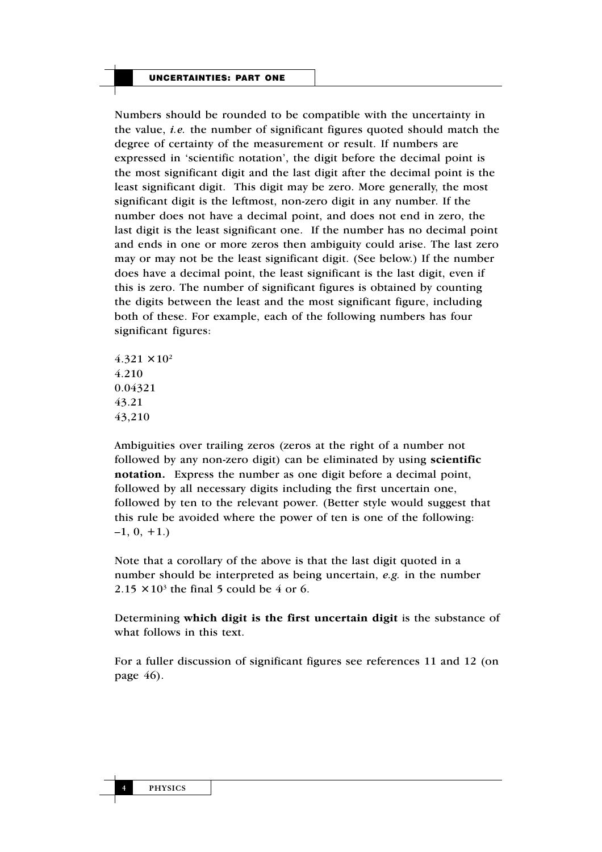#### UNCERTAINTIES: PART ONE

Numbers should be rounded to be compatible with the uncertainty in the value, *i.e.* the number of significant figures quoted should match the degree of certainty of the measurement or result. If numbers are expressed in 'scientific notation', the digit before the decimal point is the most significant digit and the last digit after the decimal point is the least significant digit. This digit may be zero. More generally, the most significant digit is the leftmost, non-zero digit in any number. If the number does not have a decimal point, and does not end in zero, the last digit is the least significant one. If the number has no decimal point and ends in one or more zeros then ambiguity could arise. The last zero may or may not be the least significant digit. (See below.) If the number does have a decimal point, the least significant is the last digit, even if this is zero. The number of significant figures is obtained by counting the digits between the least and the most significant figure, including both of these. For example, each of the following numbers has four significant figures:

 $4.321 \times 10^{2}$ 4.210 0.04321 43.21 43,210

Ambiguities over trailing zeros (zeros at the right of a number not followed by any non-zero digit) can be eliminated by using **scientific notation.** Express the number as one digit before a decimal point, followed by all necessary digits including the first uncertain one, followed by ten to the relevant power. (Better style would suggest that this rule be avoided where the power of ten is one of the following:  $-1, 0, +1.$ 

Note that a corollary of the above is that the last digit quoted in a number should be interpreted as being uncertain, *e.g.* in the number  $2.15 \times 10^3$  the final 5 could be 4 or 6.

Determining **which digit is the first uncertain digit** is the substance of what follows in this text.

For a fuller discussion of significant figures see references 11 and 12 (on page 46).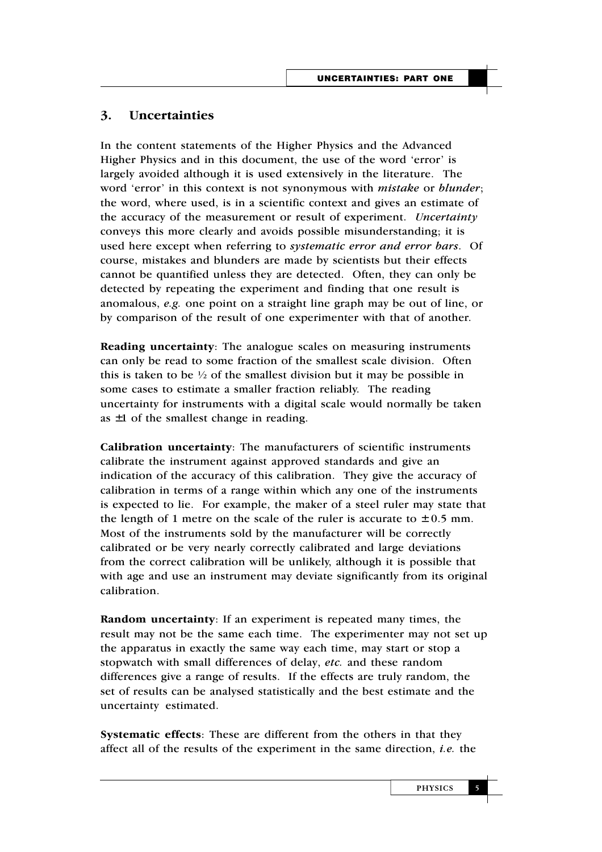## **3. Uncertainties**

In the content statements of the Higher Physics and the Advanced Higher Physics and in this document, the use of the word 'error' is largely avoided although it is used extensively in the literature. The word 'error' in this context is not synonymous with *mistake* or *blunder*; the word, where used, is in a scientific context and gives an estimate of the accuracy of the measurement or result of experiment. *Uncertainty* conveys this more clearly and avoids possible misunderstanding; it is used here except when referring to *systematic error and error bars*. Of course, mistakes and blunders are made by scientists but their effects cannot be quantified unless they are detected. Often, they can only be detected by repeating the experiment and finding that one result is anomalous, *e.g.* one point on a straight line graph may be out of line, or by comparison of the result of one experimenter with that of another.

**Reading uncertainty**: The analogue scales on measuring instruments can only be read to some fraction of the smallest scale division. Often this is taken to be  $\frac{1}{2}$  of the smallest division but it may be possible in some cases to estimate a smaller fraction reliably. The reading uncertainty for instruments with a digital scale would normally be taken as  $\pm 1$  of the smallest change in reading.

**Calibration uncertainty**: The manufacturers of scientific instruments calibrate the instrument against approved standards and give an indication of the accuracy of this calibration. They give the accuracy of calibration in terms of a range within which any one of the instruments is expected to lie. For example, the maker of a steel ruler may state that the length of 1 metre on the scale of the ruler is accurate to  $\pm$  0.5 mm. Most of the instruments sold by the manufacturer will be correctly calibrated or be very nearly correctly calibrated and large deviations from the correct calibration will be unlikely, although it is possible that with age and use an instrument may deviate significantly from its original calibration.

**Random uncertainty**: If an experiment is repeated many times, the result may not be the same each time. The experimenter may not set up the apparatus in exactly the same way each time, may start or stop a stopwatch with small differences of delay, *etc.* and these random differences give a range of results. If the effects are truly random, the set of results can be analysed statistically and the best estimate and the uncertainty estimated.

**Systematic effects**: These are different from the others in that they affect all of the results of the experiment in the same direction, *i.e.* the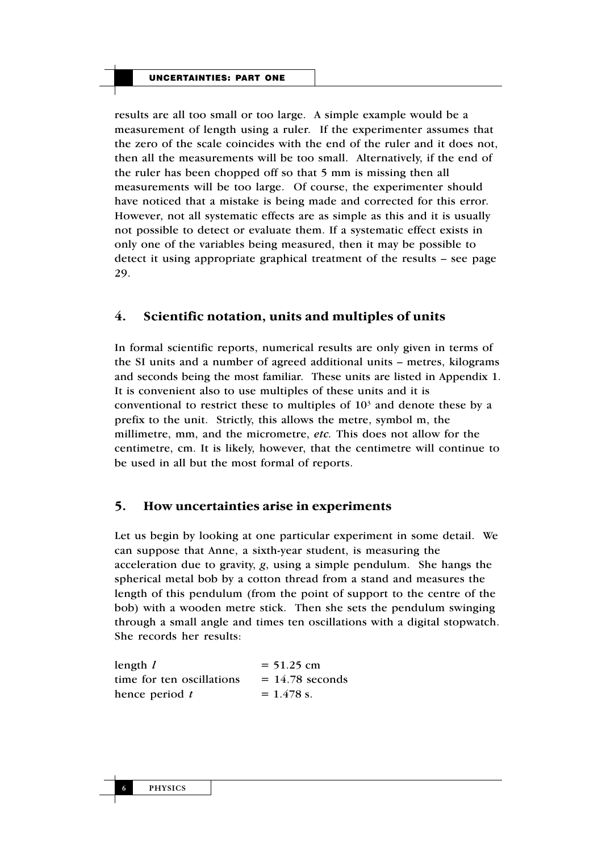#### UNCERTAINTIES: PART ONE

results are all too small or too large. A simple example would be a measurement of length using a ruler. If the experimenter assumes that the zero of the scale coincides with the end of the ruler and it does not, then all the measurements will be too small. Alternatively, if the end of the ruler has been chopped off so that 5 mm is missing then all measurements will be too large. Of course, the experimenter should have noticed that a mistake is being made and corrected for this error. However, not all systematic effects are as simple as this and it is usually not possible to detect or evaluate them. If a systematic effect exists in only one of the variables being measured, then it may be possible to detect it using appropriate graphical treatment of the results – see page 29.

## **4. Scientific notation, units and multiples of units**

In formal scientific reports, numerical results are only given in terms of the SI units and a number of agreed additional units – metres, kilograms and seconds being the most familiar. These units are listed in Appendix 1. It is convenient also to use multiples of these units and it is conventional to restrict these to multiples of  $10<sup>3</sup>$  and denote these by a prefix to the unit. Strictly, this allows the metre, symbol m, the millimetre, mm, and the micrometre, *etc.* This does not allow for the centimetre, cm. It is likely, however, that the centimetre will continue to be used in all but the most formal of reports.

## **5. How uncertainties arise in experiments**

Let us begin by looking at one particular experiment in some detail. We can suppose that Anne, a sixth-year student, is measuring the acceleration due to gravity, *g*, using a simple pendulum. She hangs the spherical metal bob by a cotton thread from a stand and measures the length of this pendulum (from the point of support to the centre of the bob) with a wooden metre stick. Then she sets the pendulum swinging through a small angle and times ten oscillations with a digital stopwatch. She records her results:

| length $l$                | $= 51.25$ cm      |
|---------------------------|-------------------|
| time for ten oscillations | $= 14.78$ seconds |
| hence period $t$          | $= 1.478$ s.      |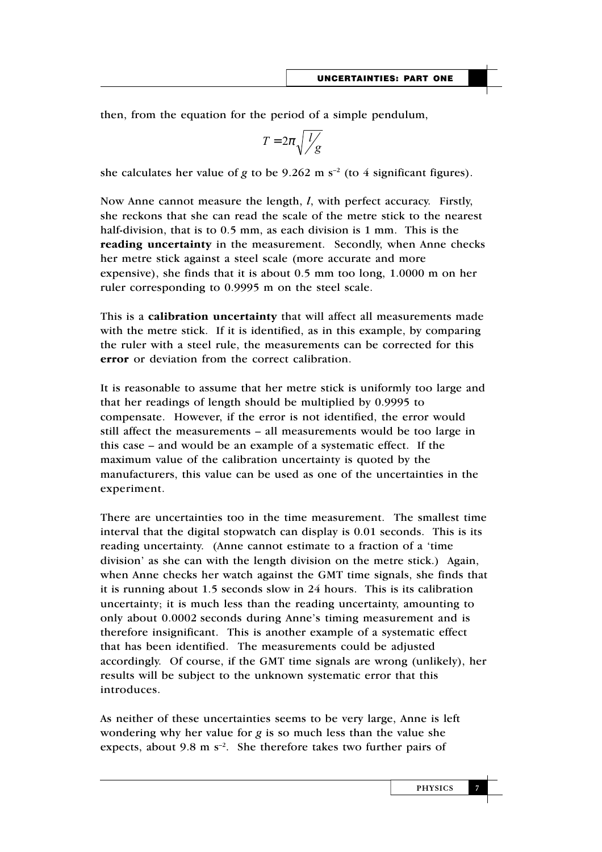then, from the equation for the period of a simple pendulum,

$$
T=2\pi\sqrt{\frac{l}{g}}
$$

she calculates her value of *g* to be 9.262 m s<sup>-2</sup> (to 4 significant figures).

Now Anne cannot measure the length, *l*, with perfect accuracy. Firstly, she reckons that she can read the scale of the metre stick to the nearest half-division, that is to 0.5 mm, as each division is 1 mm. This is the **reading uncertainty** in the measurement. Secondly, when Anne checks her metre stick against a steel scale (more accurate and more expensive), she finds that it is about 0.5 mm too long, 1.0000 m on her ruler corresponding to 0.9995 m on the steel scale.

This is a **calibration uncertainty** that will affect all measurements made with the metre stick. If it is identified, as in this example, by comparing the ruler with a steel rule, the measurements can be corrected for this **error** or deviation from the correct calibration.

It is reasonable to assume that her metre stick is uniformly too large and that her readings of length should be multiplied by 0.9995 to compensate. However, if the error is not identified, the error would still affect the measurements – all measurements would be too large in this case – and would be an example of a systematic effect. If the maximum value of the calibration uncertainty is quoted by the manufacturers, this value can be used as one of the uncertainties in the experiment.

There are uncertainties too in the time measurement. The smallest time interval that the digital stopwatch can display is 0.01 seconds. This is its reading uncertainty. (Anne cannot estimate to a fraction of a 'time division' as she can with the length division on the metre stick.) Again, when Anne checks her watch against the GMT time signals, she finds that it is running about 1.5 seconds slow in 24 hours. This is its calibration uncertainty; it is much less than the reading uncertainty, amounting to only about 0.0002 seconds during Anne's timing measurement and is therefore insignificant. This is another example of a systematic effect that has been identified. The measurements could be adjusted accordingly. Of course, if the GMT time signals are wrong (unlikely), her results will be subject to the unknown systematic error that this introduces.

As neither of these uncertainties seems to be very large, Anne is left wondering why her value for *g* is so much less than the value she expects, about 9.8 m  $s^{-2}$ . She therefore takes two further pairs of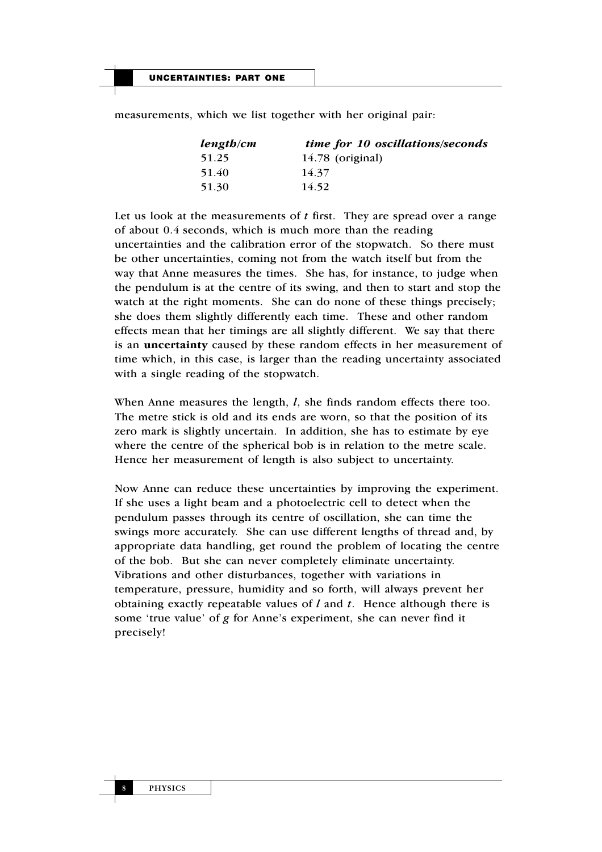measurements, which we list together with her original pair:

| lengtb/cm | time for 10 oscillations/seconds |
|-----------|----------------------------------|
| 51.25     | $14.78$ (original)               |
| 51.40     | 14.37                            |
| 51.30     | 14.52                            |

Let us look at the measurements of *t* first. They are spread over a range of about 0.4 seconds, which is much more than the reading uncertainties and the calibration error of the stopwatch. So there must be other uncertainties, coming not from the watch itself but from the way that Anne measures the times. She has, for instance, to judge when the pendulum is at the centre of its swing, and then to start and stop the watch at the right moments. She can do none of these things precisely; she does them slightly differently each time. These and other random effects mean that her timings are all slightly different. We say that there is an **uncertainty** caused by these random effects in her measurement of time which, in this case, is larger than the reading uncertainty associated with a single reading of the stopwatch.

When Anne measures the length, *l*, she finds random effects there too. The metre stick is old and its ends are worn, so that the position of its zero mark is slightly uncertain. In addition, she has to estimate by eye where the centre of the spherical bob is in relation to the metre scale. Hence her measurement of length is also subject to uncertainty.

Now Anne can reduce these uncertainties by improving the experiment. If she uses a light beam and a photoelectric cell to detect when the pendulum passes through its centre of oscillation, she can time the swings more accurately. She can use different lengths of thread and, by appropriate data handling, get round the problem of locating the centre of the bob. But she can never completely eliminate uncertainty. Vibrations and other disturbances, together with variations in temperature, pressure, humidity and so forth, will always prevent her obtaining exactly repeatable values of *l* and *t*. Hence although there is some 'true value' of *g* for Anne's experiment, she can never find it precisely!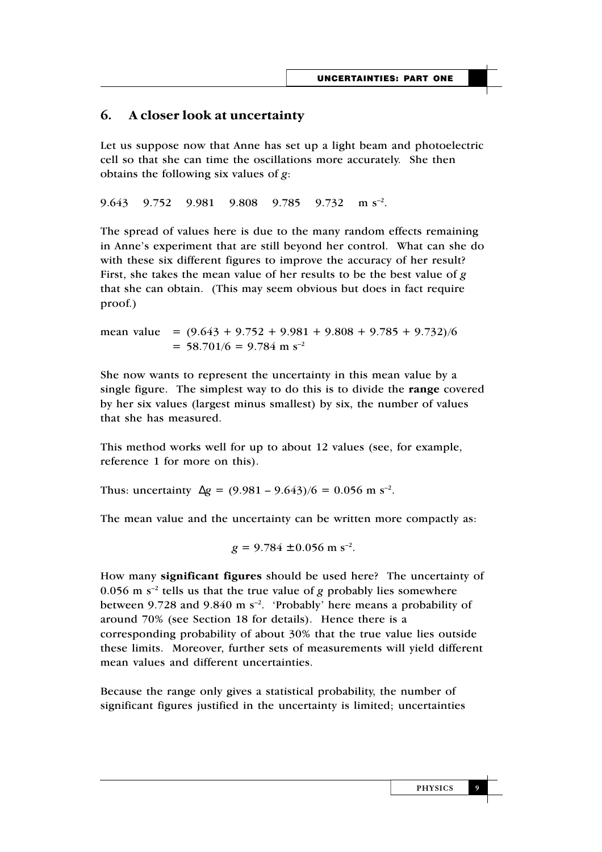## **6. A closer look at uncertainty**

Let us suppose now that Anne has set up a light beam and photoelectric cell so that she can time the oscillations more accurately. She then obtains the following six values of *g*:

9.643 9.752 9.981 9.808 9.785 9.732 m s<sup>-2</sup>.

The spread of values here is due to the many random effects remaining in Anne's experiment that are still beyond her control. What can she do with these six different figures to improve the accuracy of her result? First, she takes the mean value of her results to be the best value of *g* that she can obtain. (This may seem obvious but does in fact require proof.)

mean value =  $(9.643 + 9.752 + 9.981 + 9.808 + 9.785 + 9.732)/6$  $= 58.701/6 = 9.784 \text{ m s}^{-2}$ 

She now wants to represent the uncertainty in this mean value by a single figure. The simplest way to do this is to divide the **range** covered by her six values (largest minus smallest) by six, the number of values that she has measured.

This method works well for up to about 12 values (see, for example, reference 1 for more on this).

Thus: uncertainty  $\Delta g = (9.981 - 9.643)/6 = 0.056$  m s<sup>-2</sup>.

The mean value and the uncertainty can be written more compactly as:

$$
g = 9.784 \pm 0.056
$$
 m s<sup>-2</sup>.

How many **significant figures** should be used here? The uncertainty of 0.056 m  $s^{-2}$  tells us that the true value of *g* probably lies somewhere between 9.728 and 9.840 m  $s^{-2}$ . 'Probably' here means a probability of around 70% (see Section 18 for details). Hence there is a corresponding probability of about 30% that the true value lies outside these limits. Moreover, further sets of measurements will yield different mean values and different uncertainties.

Because the range only gives a statistical probability, the number of significant figures justified in the uncertainty is limited; uncertainties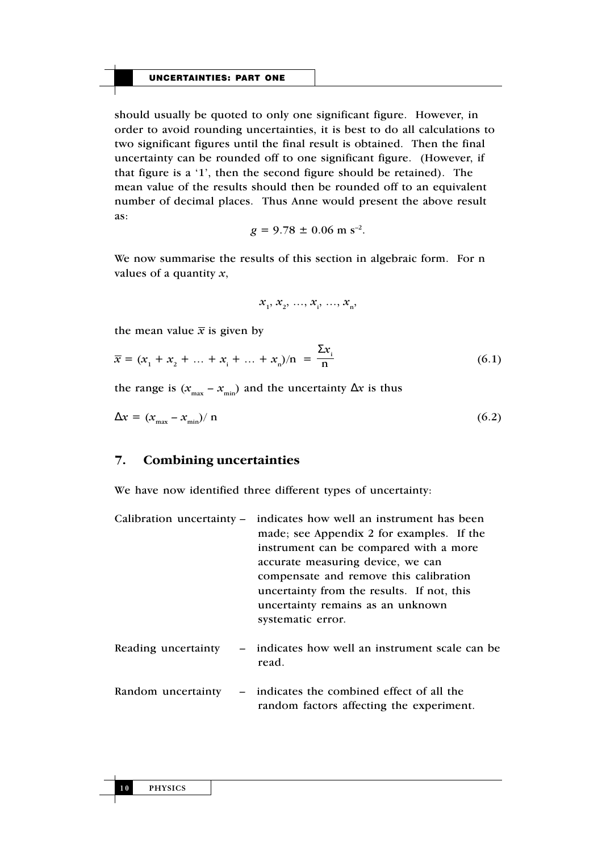#### UNCERTAINTIES: PART ONE

should usually be quoted to only one significant figure. However, in order to avoid rounding uncertainties, it is best to do all calculations to two significant figures until the final result is obtained. Then the final uncertainty can be rounded off to one significant figure. (However, if that figure is a '1', then the second figure should be retained). The mean value of the results should then be rounded off to an equivalent number of decimal places. Thus Anne would present the above result as:

$$
g = 9.78 \pm 0.06 \text{ m s}^{-2}.
$$

We now summarise the results of this section in algebraic form. For n values of a quantity *x*,

$$
x_{_1},\,x_{_2},\,...,\,x_{_i},\,...,\,x_{_n},
$$

the mean value  $\bar{x}$  is given by

$$
\overline{x} = (x_1 + x_2 + \dots + x_i + \dots + x_n)/n = \frac{\sum x_i}{n}
$$
 (6.1)

the range is  $(x_{max} - x_{min})$  and the uncertainty  $\Delta x$  is thus

$$
\Delta x = (x_{\text{max}} - x_{\text{min}}) / n \tag{6.2}
$$

## **7. Combining uncertainties**

We have now identified three different types of uncertainty:

|                     | Calibration uncertainty – indicates how well an instrument has been<br>made; see Appendix 2 for examples. If the<br>instrument can be compared with a more<br>accurate measuring device, we can<br>compensate and remove this calibration<br>uncertainty from the results. If not, this<br>uncertainty remains as an unknown<br>systematic error. |
|---------------------|---------------------------------------------------------------------------------------------------------------------------------------------------------------------------------------------------------------------------------------------------------------------------------------------------------------------------------------------------|
| Reading uncertainty | - indicates how well an instrument scale can be<br>read.                                                                                                                                                                                                                                                                                          |

Random uncertainty – indicates the combined effect of all the random factors affecting the experiment.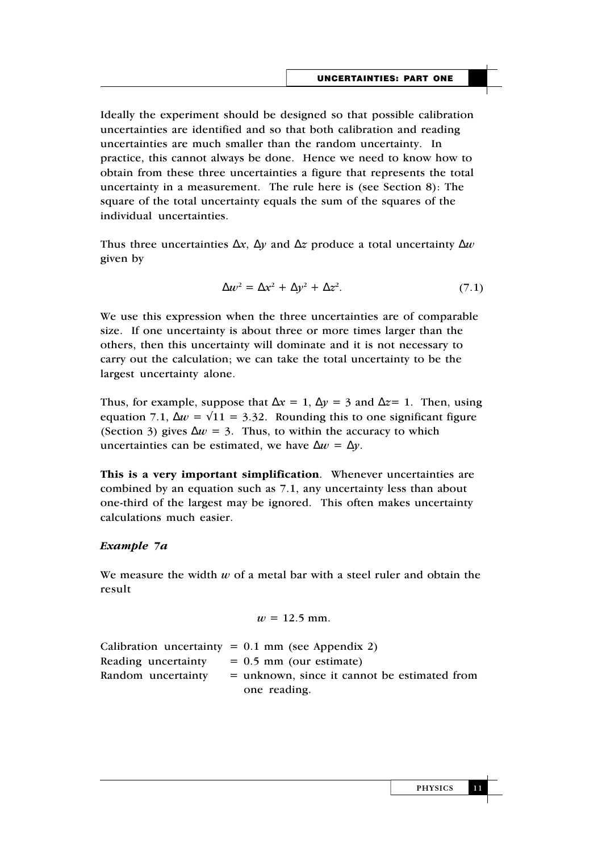Ideally the experiment should be designed so that possible calibration uncertainties are identified and so that both calibration and reading uncertainties are much smaller than the random uncertainty. In practice, this cannot always be done. Hence we need to know how to obtain from these three uncertainties a figure that represents the total uncertainty in a measurement. The rule here is (see Section 8): The square of the total uncertainty equals the sum of the squares of the individual uncertainties.

Thus three uncertainties ∆*x*, ∆*y* and ∆*z* produce a total uncertainty ∆*w* given by

$$
\Delta w^2 = \Delta x^2 + \Delta y^2 + \Delta z^2. \tag{7.1}
$$

We use this expression when the three uncertainties are of comparable size. If one uncertainty is about three or more times larger than the others, then this uncertainty will dominate and it is not necessary to carry out the calculation; we can take the total uncertainty to be the largest uncertainty alone.

Thus, for example, suppose that  $\Delta x = 1$ ,  $\Delta y = 3$  and  $\Delta z = 1$ . Then, using equation 7.1,  $\Delta w = \sqrt{11} = 3.32$ . Rounding this to one significant figure (Section 3) gives  $\Delta w = 3$ . Thus, to within the accuracy to which uncertainties can be estimated, we have ∆*w* = ∆*y*.

**This is a very important simplification**. Whenever uncertainties are combined by an equation such as 7.1, any uncertainty less than about one-third of the largest may be ignored. This often makes uncertainty calculations much easier.

#### *Example 7a*

We measure the width  $w$  of a metal bar with a steel ruler and obtain the result

$$
w = 12.5 \text{ mm.}
$$
  
Calibration uncertainty = 0.1 mm (see Appendix 2)  
Reading uncertainty = 0.5 mm (our estimate)

Random uncertainty  $=$  unknown, since it cannot be estimated from one reading.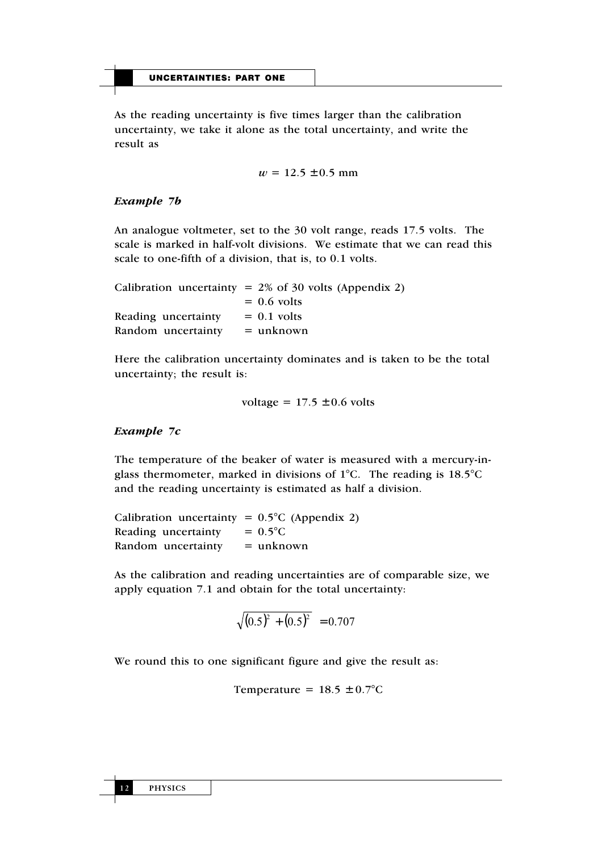As the reading uncertainty is five times larger than the calibration uncertainty, we take it alone as the total uncertainty, and write the result as

$$
w = 12.5 \pm 0.5
$$
 mm

#### *Example 7b*

An analogue voltmeter, set to the 30 volt range, reads 17.5 volts. The scale is marked in half-volt divisions. We estimate that we can read this scale to one-fifth of a division, that is, to 0.1 volts.

Calibration uncertainty =  $2\%$  of 30 volts (Appendix 2)  $= 0.6$  volts Reading uncertainty  $= 0.1$  volts Random uncertainty  $=$  unknown

Here the calibration uncertainty dominates and is taken to be the total uncertainty; the result is:

voltage =  $17.5 \pm 0.6$  volts

#### *Example 7c*

The temperature of the beaker of water is measured with a mercury-inglass thermometer, marked in divisions of  $1^{\circ}$ C. The reading is 18.5<sup>o</sup>C and the reading uncertainty is estimated as half a division.

Calibration uncertainty =  $0.5^{\circ}$ C (Appendix 2) Reading uncertainty =  $0.5^{\circ}$ C Random uncertainty  $=$  unknown

As the calibration and reading uncertainties are of comparable size, we apply equation 7.1 and obtain for the total uncertainty:

$$
\sqrt{(0.5)^2 + (0.5)^2} = 0.707
$$

We round this to one significant figure and give the result as:

Temperature =  $18.5 \pm 0.7$ °C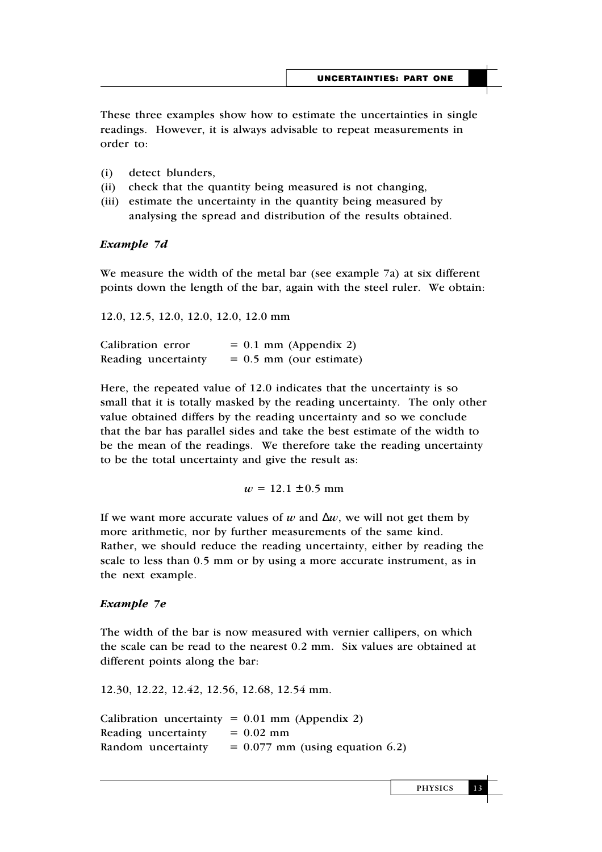These three examples show how to estimate the uncertainties in single readings. However, it is always advisable to repeat measurements in order to:

- (i) detect blunders,
- (ii) check that the quantity being measured is not changing,
- (iii) estimate the uncertainty in the quantity being measured by analysing the spread and distribution of the results obtained.

#### *Example 7d*

We measure the width of the metal bar (see example 7a) at six different points down the length of the bar, again with the steel ruler. We obtain:

12.0, 12.5, 12.0, 12.0, 12.0, 12.0 mm

| Calibration error   | $= 0.1$ mm (Appendix 2)   |
|---------------------|---------------------------|
| Reading uncertainty | $= 0.5$ mm (our estimate) |

Here, the repeated value of 12.0 indicates that the uncertainty is so small that it is totally masked by the reading uncertainty. The only other value obtained differs by the reading uncertainty and so we conclude that the bar has parallel sides and take the best estimate of the width to be the mean of the readings. We therefore take the reading uncertainty to be the total uncertainty and give the result as:

 $w = 12.1 \pm 0.5$  mm

If we want more accurate values of *w* and  $\Delta w$ , we will not get them by more arithmetic, nor by further measurements of the same kind. Rather, we should reduce the reading uncertainty, either by reading the scale to less than 0.5 mm or by using a more accurate instrument, as in the next example.

#### *Example 7e*

The width of the bar is now measured with vernier callipers, on which the scale can be read to the nearest 0.2 mm. Six values are obtained at different points along the bar:

12.30, 12.22, 12.42, 12.56, 12.68, 12.54 mm.

Calibration uncertainty =  $0.01$  mm (Appendix 2) Reading uncertainty  $= 0.02$  mm Random uncertainty =  $0.077$  mm (using equation 6.2)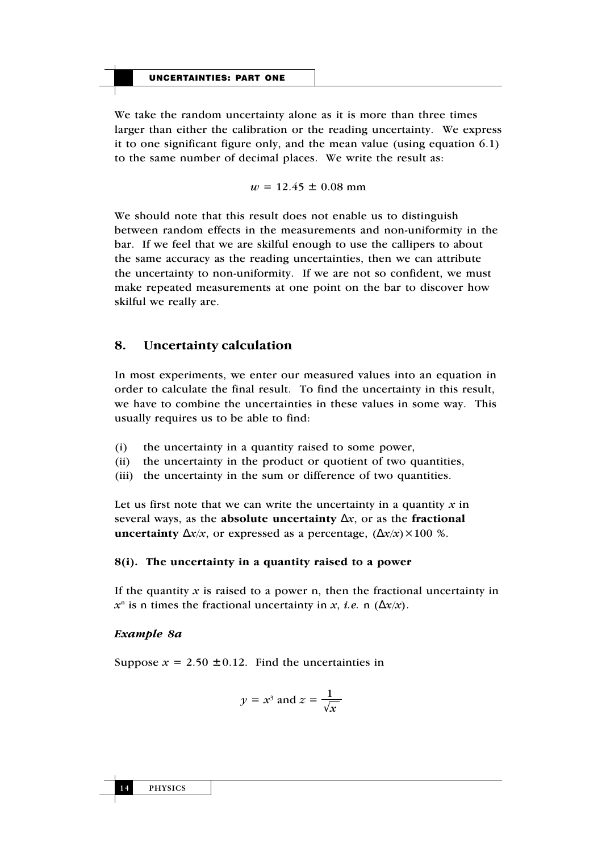#### UNCERTAINTIES: PART ONE

We take the random uncertainty alone as it is more than three times larger than either the calibration or the reading uncertainty. We express it to one significant figure only, and the mean value (using equation 6.1) to the same number of decimal places. We write the result as:

 $w = 12.45 \pm 0.08$  mm

We should note that this result does not enable us to distinguish between random effects in the measurements and non-uniformity in the bar. If we feel that we are skilful enough to use the callipers to about the same accuracy as the reading uncertainties, then we can attribute the uncertainty to non-uniformity. If we are not so confident, we must make repeated measurements at one point on the bar to discover how skilful we really are.

## **8. Uncertainty calculation**

In most experiments, we enter our measured values into an equation in order to calculate the final result. To find the uncertainty in this result, we have to combine the uncertainties in these values in some way. This usually requires us to be able to find:

- (i) the uncertainty in a quantity raised to some power,
- (ii) the uncertainty in the product or quotient of two quantities,
- (iii) the uncertainty in the sum or difference of two quantities.

Let us first note that we can write the uncertainty in a quantity  $x$  in several ways, as the **absolute uncertainty** ∆*x*, or as the **fractional uncertainty**  $\Delta x/x$ , or expressed as a percentage,  $(\Delta x/x) \times 100$  %.

## **8(i). The uncertainty in a quantity raised to a power**

If the quantity  $x$  is raised to a power n, then the fractional uncertainty in  $x^n$  is n times the fractional uncertainty in *x*, *i.e.* n ( $\Delta x/x$ ).

## *Example 8a*

Suppose  $x = 2.50 \pm 0.12$ . Find the uncertainties in

$$
y = x^3 \text{ and } z = \frac{1}{\sqrt{x}}
$$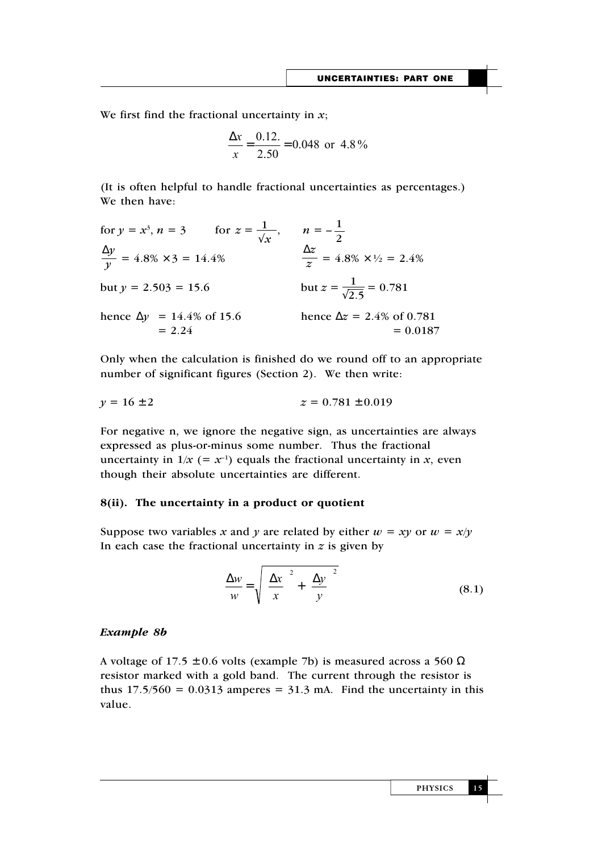We first find the fractional uncertainty in *x*;

$$
\frac{\Delta x}{x} = \frac{0.12}{2.50} = 0.048 \text{ or } 4.8\%
$$

(It is often helpful to handle fractional uncertainties as percentages.) We then have:

for 
$$
y = x^3
$$
,  $n = 3$  for  $z = \frac{1}{\sqrt{x}}$ ,  $n = -\frac{1}{2}$   
\n $\frac{\Delta y}{y} = 4.8\% \times 3 = 14.4\%$   
\nbut  $y = 2.503 = 15.6$   
\nhence  $\Delta y = 14.4\%$  of 15.6  
\n $= 2.24$   
\n $\Delta z = 4.8\% \times \frac{1}{2} = 2.4\%$   
\nbut  $z = \frac{1}{\sqrt{2.5}} = 0.781$   
\nhence  $\Delta z = 2.4\%$  of 0.781  
\n $= 0.0187$ 

Only when the calculation is finished do we round off to an appropriate number of significant figures (Section 2). We then write:

$$
y = 16 \pm 2 \qquad \qquad z = 0.781 \pm 0.019
$$

For negative n, we ignore the negative sign, as uncertainties are always expressed as plus-or-minus some number. Thus the fractional uncertainty in  $1/x (= x^{-1})$  equals the fractional uncertainty in *x*, even though their absolute uncertainties are different.

## **8(ii). The uncertainty in a product or quotient**

Suppose two variables x and y are related by either  $w = xy$  or  $w = x/y$ In each case the fractional uncertainty in *z* is given by

$$
\frac{\Delta w}{w} = \sqrt{\left(\frac{\Delta x}{x}\right)^2 + \left(\frac{\Delta y}{y}\right)^2}
$$
\n(8.1)

#### *Example 8b*

A voltage of 17.5  $\pm$  0.6 volts (example 7b) is measured across a 560  $\Omega$ resistor marked with a gold band. The current through the resistor is thus  $17.5/560 = 0.0313$  amperes = 31.3 mA. Find the uncertainty in this value.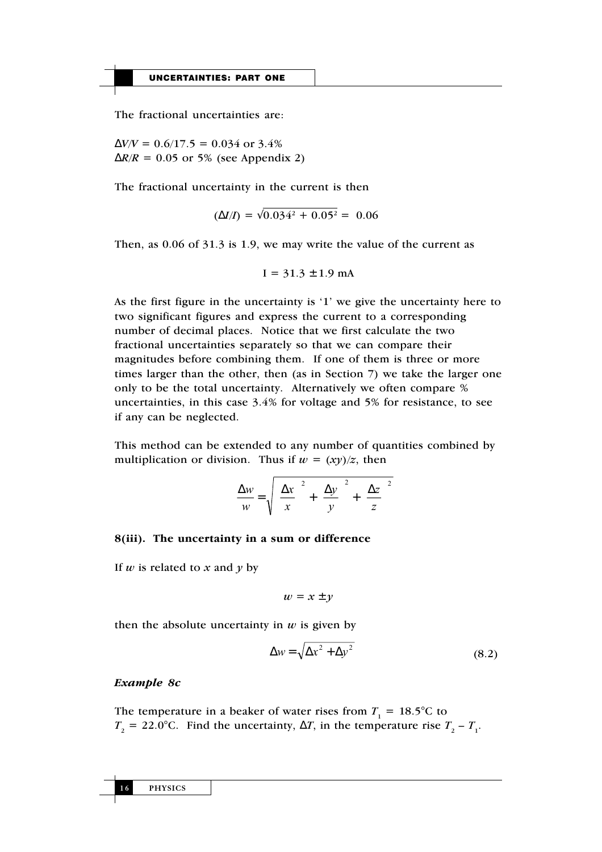The fractional uncertainties are:

 $\Delta V/V = 0.6/17.5 = 0.034$  or 3.4%  $\Delta R/R = 0.05$  or 5% (see Appendix 2)

The fractional uncertainty in the current is then

$$
(\Delta I/I) = \sqrt{0.034^2 + 0.05^2} = 0.06
$$

Then, as 0.06 of 31.3 is 1.9, we may write the value of the current as

$$
I = 31.3 \pm 1.9 \text{ mA}
$$

As the first figure in the uncertainty is '1' we give the uncertainty here to two significant figures and express the current to a corresponding number of decimal places. Notice that we first calculate the two fractional uncertainties separately so that we can compare their magnitudes before combining them. If one of them is three or more times larger than the other, then (as in Section 7) we take the larger one only to be the total uncertainty. Alternatively we often compare % uncertainties, in this case 3.4% for voltage and 5% for resistance, to see if any can be neglected.

This method can be extended to any number of quantities combined by multiplication or division. Thus if  $w = (xy)/z$ , then

| $\frac{\Delta w}{w} = \sqrt{\left(\frac{\Delta x}{x}\right)^2 + \left(\frac{\Delta y}{y}\right)^2 + \left(\frac{\Delta z}{z}\right)^2}$ |  |  |  |
|-----------------------------------------------------------------------------------------------------------------------------------------|--|--|--|
|                                                                                                                                         |  |  |  |

#### **8(iii). The uncertainty in a sum or difference**

If *w* is related to *x* and *y* by

$$
w = x \pm y
$$

then the absolute uncertainty in  $w$  is given by

$$
\Delta w = \sqrt{\Delta x^2 + \Delta y^2} \tag{8.2}
$$

#### *Example 8c*

The temperature in a beaker of water rises from  $T_1 = 18.5$ °C to  $T_2 = 22.0$ °C. Find the uncertainty,  $\Delta T$ , in the temperature rise  $T_2 - T_1$ .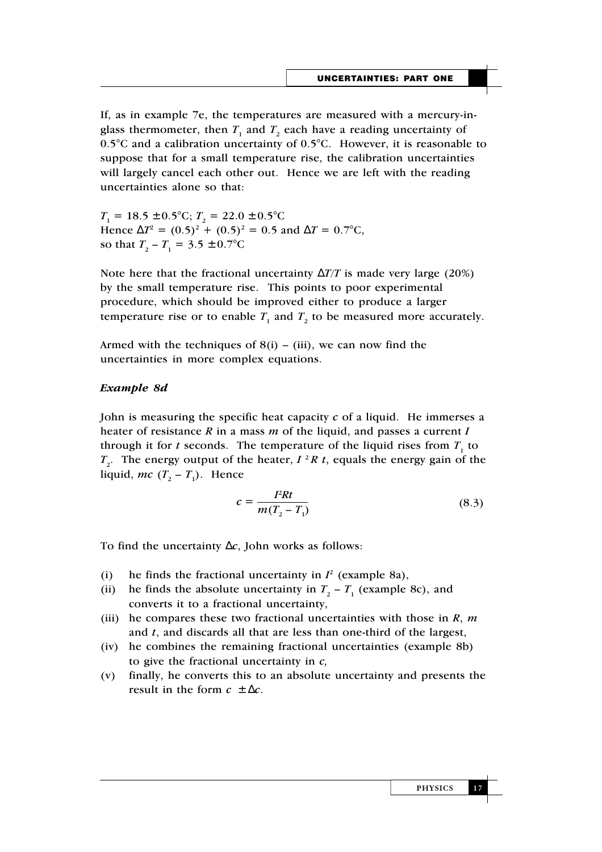If, as in example 7e, the temperatures are measured with a mercury-inglass thermometer, then  $T_1$  and  $T_2$  each have a reading uncertainty of 0.5°C and a calibration uncertainty of 0.5°C. However, it is reasonable to suppose that for a small temperature rise, the calibration uncertainties will largely cancel each other out. Hence we are left with the reading uncertainties alone so that:

 $T_1 = 18.5 \pm 0.5^{\circ}$ C;  $T_2 = 22.0 \pm 0.5^{\circ}$ C Hence  $\Delta T^2 = (0.5)^2 + (0.5)^2 = 0.5$  and  $\Delta T = 0.7$ °C, so that  $T_2 - T_1 = 3.5 \pm 0.7$ °C

Note here that the fractional uncertainty ∆*T*/*T* is made very large (20%) by the small temperature rise. This points to poor experimental procedure, which should be improved either to produce a larger temperature rise or to enable  $T_1$  and  $T_2$  to be measured more accurately.

Armed with the techniques of  $8(i) - (iii)$ , we can now find the uncertainties in more complex equations.

#### *Example 8d*

John is measuring the specific heat capacity *c* of a liquid. He immerses a heater of resistance *R* in a mass *m* of the liquid, and passes a current *I* through it for  $t$  seconds. The temperature of the liquid rises from  $T<sub>1</sub>$  to *T*<sub>2</sub>. The energy output of the heater, *I*<sup>2</sup>*R t*, equals the energy gain of the liquid, *mc*  $(T_2 - T_1)$ . Hence

$$
c = \frac{I^2 R t}{m (T_2 - T_1)}
$$
\n
$$
(8.3)
$$

To find the uncertainty ∆*c*, John works as follows:

- (i) he finds the fractional uncertainty in  $I^2$  (example 8a),
- (ii) he finds the absolute uncertainty in  $T_2 T_1$  (example 8c), and converts it to a fractional uncertainty,
- (iii) he compares these two fractional uncertainties with those in *R*, *m* and *t*, and discards all that are less than one-third of the largest,
- (iv) he combines the remaining fractional uncertainties (example 8b) to give the fractional uncertainty in *c,*
- (v) finally, he converts this to an absolute uncertainty and presents the result in the form  $c \pm \Delta c$ .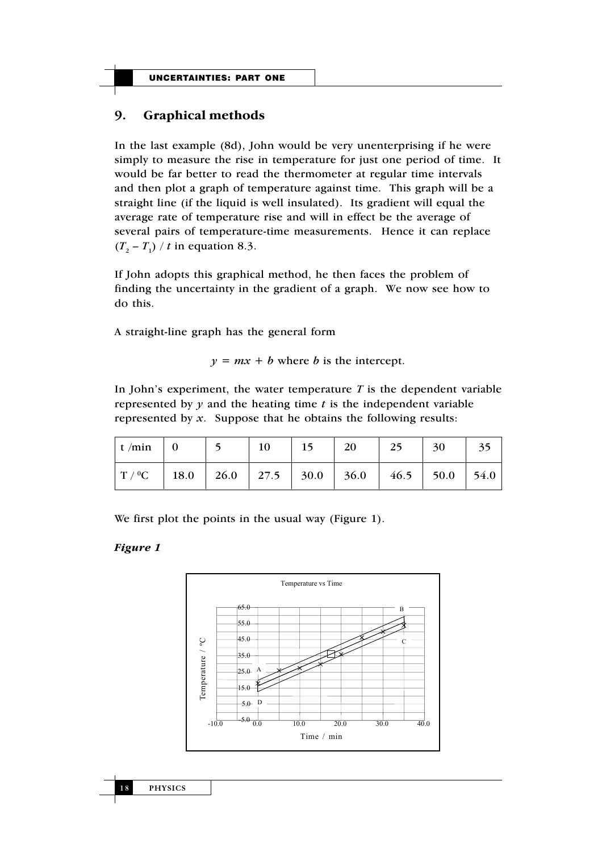## **9. Graphical methods**

In the last example (8d), John would be very unenterprising if he were simply to measure the rise in temperature for just one period of time. It would be far better to read the thermometer at regular time intervals and then plot a graph of temperature against time. This graph will be a straight line (if the liquid is well insulated). Its gradient will equal the average rate of temperature rise and will in effect be the average of several pairs of temperature-time measurements. Hence it can replace  $(T_2 - T_1) / t$  in equation 8.3.

If John adopts this graphical method, he then faces the problem of finding the uncertainty in the gradient of a graph. We now see how to do this.

A straight-line graph has the general form

 $y = mx + b$  where *b* is the intercept.

In John's experiment, the water temperature  $T$  is the dependent variable represented by  $\gamma$  and the heating time  $t$  is the independent variable represented by *x*. Suppose that he obtains the following results:

| t /min   0                                                                                                                     |  | 10 | 15 | 20 | 25 | 30 |  |
|--------------------------------------------------------------------------------------------------------------------------------|--|----|----|----|----|----|--|
| $\vert$ T / °C $\vert$ 18.0 $\vert$ 26.0 $\vert$ 27.5 $\vert$ 30.0 $\vert$ 36.0 $\vert$ 46.5 $\vert$ 50.0 $\vert$ 54.0 $\vert$ |  |    |    |    |    |    |  |

We first plot the points in the usual way (Figure 1).

#### *Figure 1*



**1 8 PHYSICS**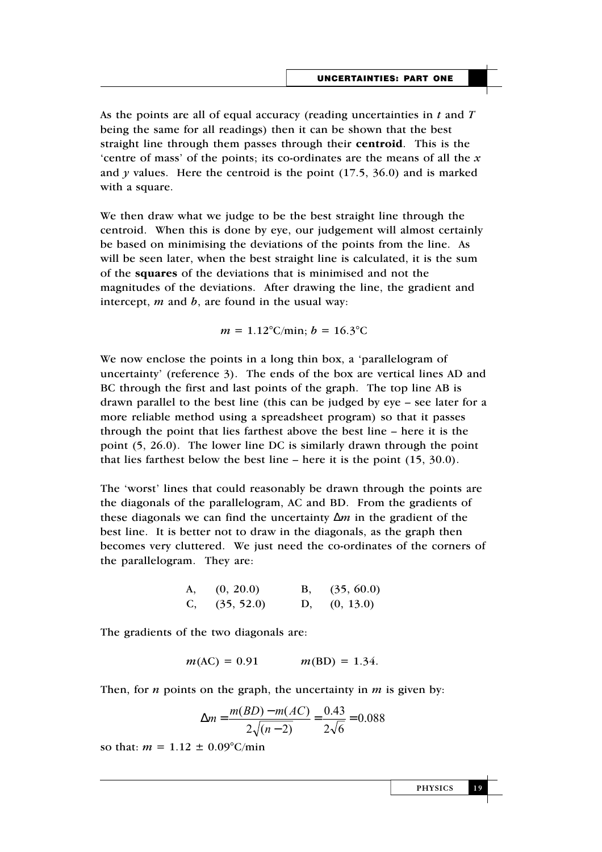As the points are all of equal accuracy (reading uncertainties in *t* and *T* being the same for all readings) then it can be shown that the best straight line through them passes through their **centroid**. This is the 'centre of mass' of the points; its co-ordinates are the means of all the *x* and  $\gamma$  values. Here the centroid is the point (17.5, 36.0) and is marked with a square.

We then draw what we judge to be the best straight line through the centroid. When this is done by eye, our judgement will almost certainly be based on minimising the deviations of the points from the line. As will be seen later, when the best straight line is calculated, it is the sum of the **squares** of the deviations that is minimised and not the magnitudes of the deviations. After drawing the line, the gradient and intercept, *m* and *b*, are found in the usual way:

 $m = 1.12^{\circ}$ C/min;  $b = 16.3^{\circ}$ C

We now enclose the points in a long thin box, a 'parallelogram of uncertainty' (reference 3). The ends of the box are vertical lines AD and BC through the first and last points of the graph. The top line AB is drawn parallel to the best line (this can be judged by eye – see later for a more reliable method using a spreadsheet program) so that it passes through the point that lies farthest above the best line – here it is the point (5, 26.0). The lower line DC is similarly drawn through the point that lies farthest below the best line – here it is the point (15, 30.0).

The 'worst' lines that could reasonably be drawn through the points are the diagonals of the parallelogram, AC and BD. From the gradients of these diagonals we can find the uncertainty ∆*m* in the gradient of the best line. It is better not to draw in the diagonals, as the graph then becomes very cluttered. We just need the co-ordinates of the corners of the parallelogram. They are:

A, (0, 20.0) B, (35, 60.0) C, (35, 52.0) D, (0, 13.0)

The gradients of the two diagonals are:

 $m(AC) = 0.91$   $m(BD) = 1.34$ .

Then, for *n* points on the graph, the uncertainty in *m* is given by:

$$
\Delta m = \frac{m(BD) - m(AC)}{2\sqrt{(n-2)}} = \frac{0.43}{2\sqrt{6}} = 0.088
$$

so that:  $m = 1.12 \pm 0.09$ °C/min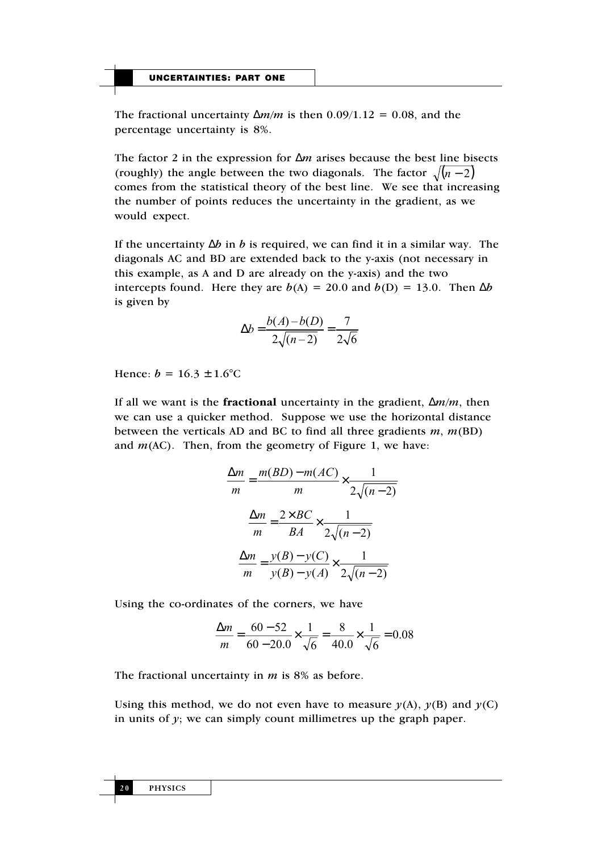The fractional uncertainty  $\Delta m/m$  is then 0.09/1.12 = 0.08, and the percentage uncertainty is 8%.

The factor 2 in the expression for ∆*m* arises because the best line bisects (roughly) the angle between the two diagonals. The factor  $\sqrt{(n-2)}$ comes from the statistical theory of the best line. We see that increasing the number of points reduces the uncertainty in the gradient, as we would expect.

If the uncertainty ∆*b* in *b* is required, we can find it in a similar way. The diagonals AC and BD are extended back to the y-axis (not necessary in this example, as A and D are already on the y-axis) and the two intercepts found. Here they are  $b(A) = 20.0$  and  $b(D) = 13.0$ . Then  $\Delta b$ is given by

$$
\Delta b = \frac{b(A) - b(D)}{2\sqrt{(n-2)}} = \frac{7}{2\sqrt{6}}
$$

Hence:  $b = 16.3 \pm 1.6^{\circ}$ C

If all we want is the **fractional** uncertainty in the gradient, ∆*m/m*, then we can use a quicker method. Suppose we use the horizontal distance between the verticals AD and BC to find all three gradients *m*, *m*(BD) and  $m$ (AC). Then, from the geometry of Figure 1, we have:

$$
\frac{\Delta m}{m} = \frac{m(BD) - m(AC)}{m} \times \frac{1}{2\sqrt{(n-2)}}
$$

$$
\frac{\Delta m}{m} = \frac{2 \times BC}{BA} \times \frac{1}{2\sqrt{(n-2)}}
$$

$$
\frac{\Delta m}{m} = \frac{y(B) - y(C)}{y(B) - y(A)} \times \frac{1}{2\sqrt{(n-2)}}
$$

Using the co-ordinates of the corners, we have

$$
\frac{\Delta m}{m} = \frac{60 - 52}{60 - 20.0} \times \frac{1}{\sqrt{6}} = \frac{8}{40.0} \times \frac{1}{\sqrt{6}} = 0.08
$$

The fractional uncertainty in *m* is 8% as before.

Using this method, we do not even have to measure  $\gamma(A)$ ,  $\gamma(B)$  and  $\gamma(C)$ in units of  $y$ ; we can simply count millimetres up the graph paper.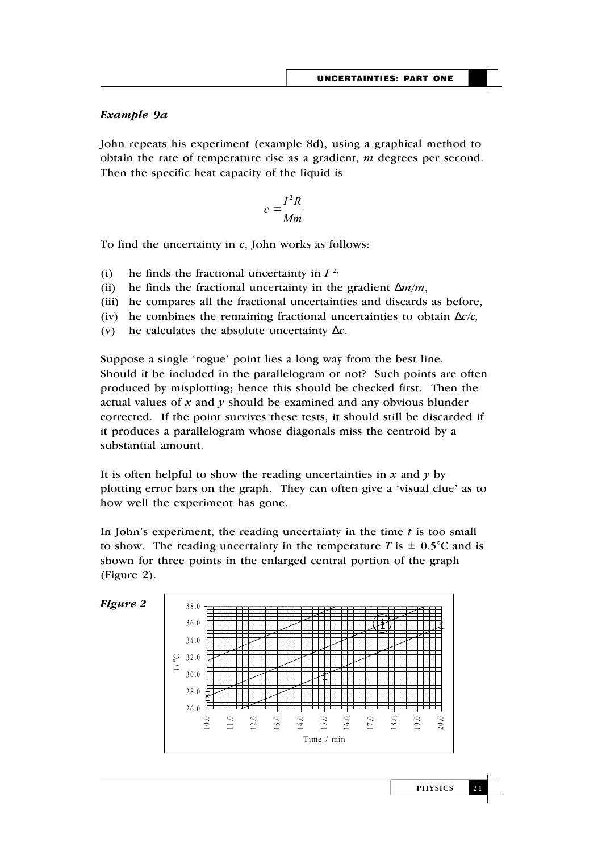## *Example 9a*

John repeats his experiment (example 8d), using a graphical method to obtain the rate of temperature rise as a gradient, *m* degrees per second. Then the specific heat capacity of the liquid is

$$
c = \frac{I^2 R}{Mm}
$$

To find the uncertainty in *c*, John works as follows:

- (i) he finds the fractional uncertainty in  $I<sup>2</sup>$ ,
- (ii) he finds the fractional uncertainty in the gradient ∆*m/m*,
- (iii) he compares all the fractional uncertainties and discards as before,
- (iv) he combines the remaining fractional uncertainties to obtain ∆*c/c,*
- (v) he calculates the absolute uncertainty ∆*c*.

Suppose a single 'rogue' point lies a long way from the best line. Should it be included in the parallelogram or not? Such points are often produced by misplotting; hence this should be checked first. Then the actual values of  $x$  and  $y$  should be examined and any obvious blunder corrected. If the point survives these tests, it should still be discarded if it produces a parallelogram whose diagonals miss the centroid by a substantial amount.

It is often helpful to show the reading uncertainties in  $x$  and  $y$  by plotting error bars on the graph. They can often give a 'visual clue' as to how well the experiment has gone.

In John's experiment, the reading uncertainty in the time *t* is too small to show. The reading uncertainty in the temperature *T* is  $\pm 0.5^{\circ}$ C and is shown for three points in the enlarged central portion of the graph (Figure 2).



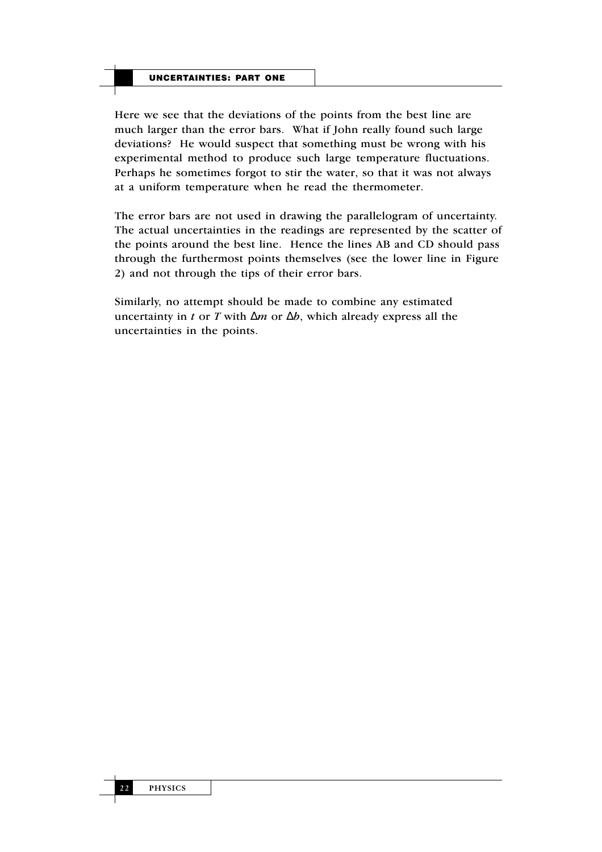#### UNCERTAINTIES: PART ONE

Here we see that the deviations of the points from the best line are much larger than the error bars. What if John really found such large deviations? He would suspect that something must be wrong with his experimental method to produce such large temperature fluctuations. Perhaps he sometimes forgot to stir the water, so that it was not always at a uniform temperature when he read the thermometer.

The error bars are not used in drawing the parallelogram of uncertainty. The actual uncertainties in the readings are represented by the scatter of the points around the best line. Hence the lines AB and CD should pass through the furthermost points themselves (see the lower line in Figure 2) and not through the tips of their error bars.

Similarly, no attempt should be made to combine any estimated uncertainty in *t* or *T* with ∆*m* or ∆*b*, which already express all the uncertainties in the points.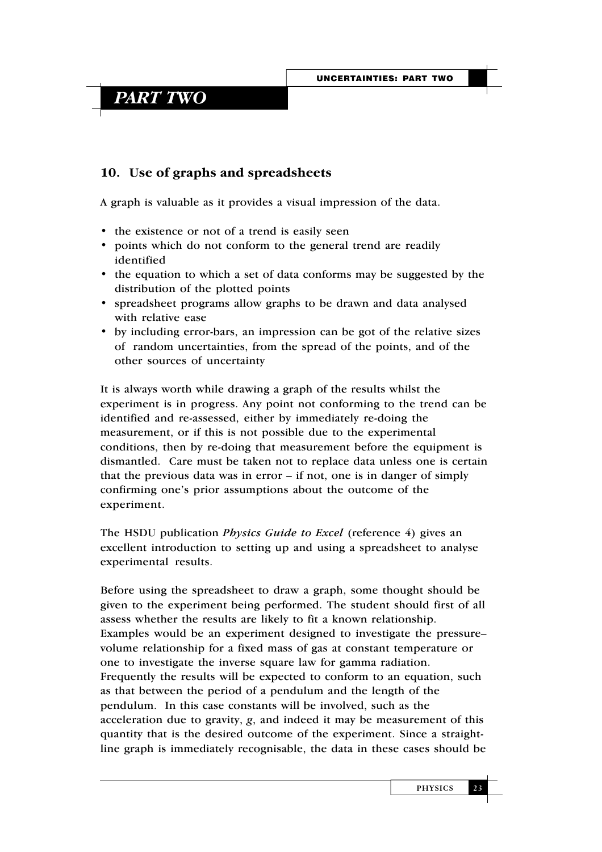# *PART TWO*

## **10. Use of graphs and spreadsheets**

A graph is valuable as it provides a visual impression of the data.

- the existence or not of a trend is easily seen
- points which do not conform to the general trend are readily identified
- the equation to which a set of data conforms may be suggested by the distribution of the plotted points
- spreadsheet programs allow graphs to be drawn and data analysed with relative ease
- by including error-bars, an impression can be got of the relative sizes of random uncertainties, from the spread of the points, and of the other sources of uncertainty

It is always worth while drawing a graph of the results whilst the experiment is in progress. Any point not conforming to the trend can be identified and re-assessed, either by immediately re-doing the measurement, or if this is not possible due to the experimental conditions, then by re-doing that measurement before the equipment is dismantled. Care must be taken not to replace data unless one is certain that the previous data was in error – if not, one is in danger of simply confirming one's prior assumptions about the outcome of the experiment.

The HSDU publication *Physics Guide to Excel* (reference 4) gives an excellent introduction to setting up and using a spreadsheet to analyse experimental results.

Before using the spreadsheet to draw a graph, some thought should be given to the experiment being performed. The student should first of all assess whether the results are likely to fit a known relationship. Examples would be an experiment designed to investigate the pressure– volume relationship for a fixed mass of gas at constant temperature or one to investigate the inverse square law for gamma radiation. Frequently the results will be expected to conform to an equation, such as that between the period of a pendulum and the length of the pendulum. In this case constants will be involved, such as the acceleration due to gravity, *g*, and indeed it may be measurement of this quantity that is the desired outcome of the experiment. Since a straightline graph is immediately recognisable, the data in these cases should be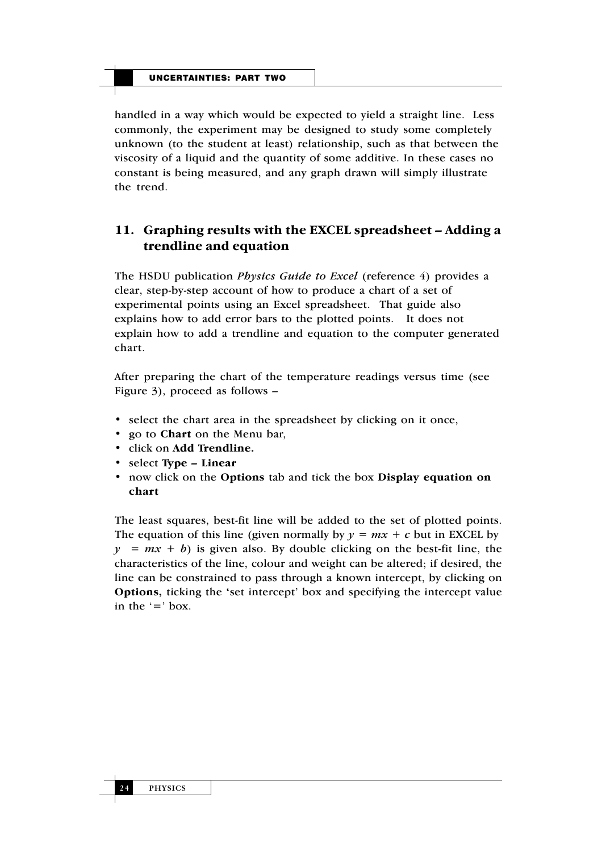handled in a way which would be expected to yield a straight line. Less commonly, the experiment may be designed to study some completely unknown (to the student at least) relationship, such as that between the viscosity of a liquid and the quantity of some additive. In these cases no constant is being measured, and any graph drawn will simply illustrate the trend.

# **11. Graphing results with the EXCEL spreadsheet – Adding a trendline and equation**

The HSDU publication *Physics Guide to Excel* (reference 4) provides a clear, step-by-step account of how to produce a chart of a set of experimental points using an Excel spreadsheet. That guide also explains how to add error bars to the plotted points. It does not explain how to add a trendline and equation to the computer generated chart.

After preparing the chart of the temperature readings versus time (see Figure 3), proceed as follows –

- select the chart area in the spreadsheet by clicking on it once,
- go to **Chart** on the Menu bar,
- click on **Add Trendline.**
- select **Type Linear**
- now click on the **Options** tab and tick the box **Display equation on chart**

The least squares, best-fit line will be added to the set of plotted points. The equation of this line (given normally by  $\gamma = mx + c$  but in EXCEL by  $y = mx + b$  is given also. By double clicking on the best-fit line, the characteristics of the line, colour and weight can be altered; if desired, the line can be constrained to pass through a known intercept, by clicking on **Options,** ticking the **'**set intercept' box and specifying the intercept value in the  $' ='$  box.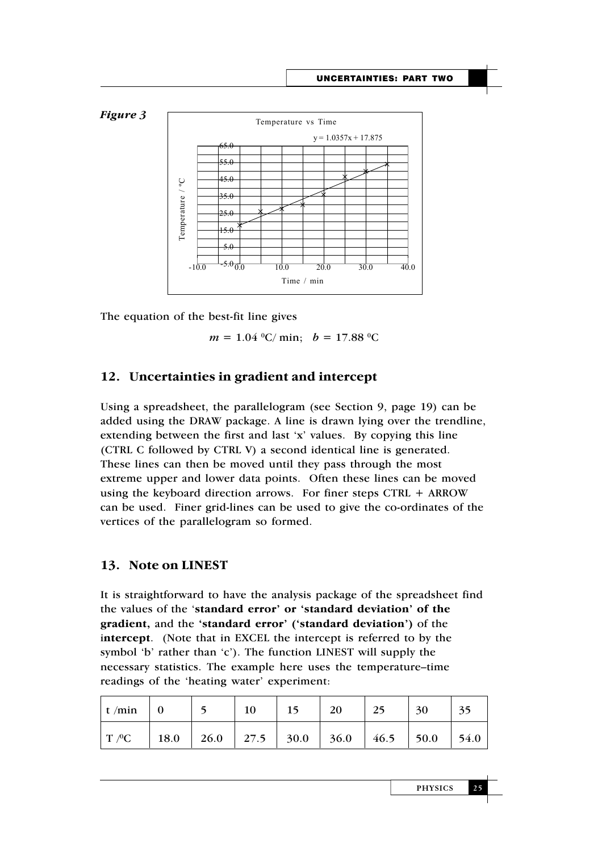

The equation of the best-fit line gives

 $m = 1.04 \text{ °C} / \text{min}; b = 17.88 \text{ °C}$ 

## **12. Uncertainties in gradient and intercept**

Using a spreadsheet, the parallelogram (see Section 9, page 19) can be added using the DRAW package. A line is drawn lying over the trendline, extending between the first and last 'x' values. By copying this line (CTRL C followed by CTRL V) a second identical line is generated. These lines can then be moved until they pass through the most extreme upper and lower data points. Often these lines can be moved using the keyboard direction arrows. For finer steps CTRL + ARROW can be used. Finer grid-lines can be used to give the co-ordinates of the vertices of the parallelogram so formed.

## **13. Note on LINEST**

It is straightforward to have the analysis package of the spreadsheet find the values of the '**standard error' or 'standard deviation' of the gradient,** and the **'standard error' ('standard deviation')** of the i**ntercept**. (Note that in EXCEL the intercept is referred to by the symbol 'b' rather than 'c'). The function LINEST will supply the necessary statistics. The example here uses the temperature–time readings of the 'heating water' experiment:

| $\pm$ /min           |  |  | 20                                                    | 25 | 30 |  |
|----------------------|--|--|-------------------------------------------------------|----|----|--|
| $\mid T \rangle^0 C$ |  |  | 18.0   26.0   27.5   30.0   36.0   46.5   50.0   54.0 |    |    |  |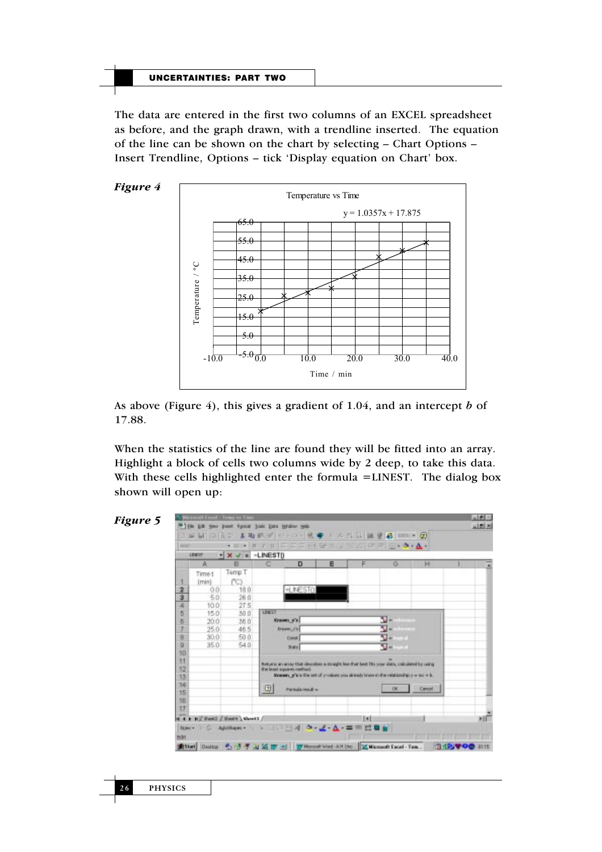#### UNCERTAINTIES: PART TWO

The data are entered in the first two columns of an EXCEL spreadsheet as before, and the graph drawn, with a trendline inserted. The equation of the line can be shown on the chart by selecting – Chart Options – Insert Trendline, Options – tick 'Display equation on Chart' box.





As above (Figure 4), this gives a gradient of 1.04, and an intercept *b* of 17.88.

When the statistics of the line are found they will be fitted into an array. Highlight a block of cells two columns wide by 2 deep, to take this data. With these cells highlighted enter the formula =LINEST. The dialog box shown will open up:

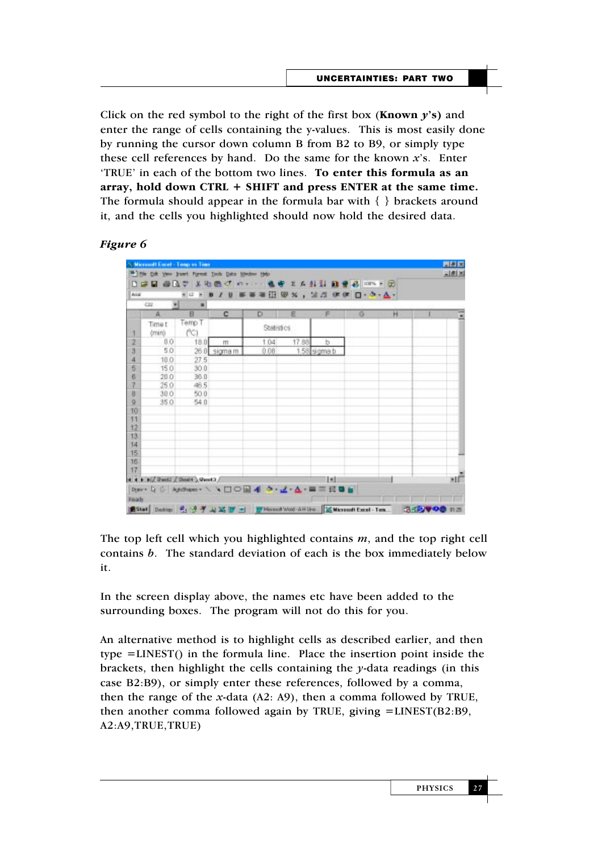Click on the red symbol to the right of the first box (**Known** *y***'s)** and enter the range of cells containing the y-values. This is most easily done by running the cursor down column B from B2 to B9, or simply type these cell references by hand. Do the same for the known *x*'s. Enter 'TRUE' in each of the bottom two lines. **To enter this formula as an array, hold down CTRL + SHIFT and press ENTER at the same time.** The formula should appear in the formula bar with  $\{\}$  brackets around it, and the cells you highlighted should now hold the desired data.

## *Figure 6*

|                                        | CEE<br>뇌                               | $+12$<br>×<br>٠ |                |            |       | $\boxplus \boxplus \times$ , $\cong \triangle$ ( $\cong \blacksquare$ ) $\Box \cdot \Delta \cdot \Delta$ . |   |   |    |
|----------------------------------------|----------------------------------------|-----------------|----------------|------------|-------|------------------------------------------------------------------------------------------------------------|---|---|----|
|                                        | $\mathbf{A}$                           | Ħ               | с              | D          | E     | F                                                                                                          | G | H |    |
|                                        | Timet<br>(min)                         | Temp T<br>(°C)  |                | Statistics |       |                                                                                                            |   |   |    |
| $\overline{2}$                         | 0.0                                    | 18.0            | $^{\text{TT}}$ | 1.04       | 17.88 | ь                                                                                                          |   |   |    |
| 3                                      | 5.0                                    |                 | 26.0 sigma m   | 0.06       |       | 1.58 sigma b                                                                                               |   |   |    |
| 4                                      | 10.0                                   | 27.5            |                |            |       |                                                                                                            |   |   |    |
| 5                                      | 15.0                                   | 30.0            |                |            |       |                                                                                                            |   |   |    |
| 6                                      | 20.0                                   | 36.0            |                |            |       |                                                                                                            |   |   |    |
| 7                                      | 25.0                                   | 46.5            |                |            |       |                                                                                                            |   |   |    |
| B                                      | 30.0                                   | 50.0            |                |            |       |                                                                                                            |   |   |    |
| $\begin{array}{c} 9 \\ 10 \end{array}$ | 35.0                                   | 54.0            |                |            |       |                                                                                                            |   |   |    |
|                                        |                                        |                 |                |            |       |                                                                                                            |   |   |    |
| 11                                     |                                        |                 |                |            |       |                                                                                                            |   |   |    |
| $\frac{12}{13}$                        |                                        |                 |                |            |       |                                                                                                            |   |   |    |
|                                        |                                        |                 |                |            |       |                                                                                                            |   |   |    |
| 14                                     |                                        |                 |                |            |       |                                                                                                            |   |   |    |
| 15                                     |                                        |                 |                |            |       |                                                                                                            |   |   |    |
| 16<br>17                               |                                        |                 |                |            |       |                                                                                                            |   |   |    |
|                                        | 4 4 9 9 (2 Street2 / Shout4 ) Shout3 / |                 |                |            |       | $-1 - 1$                                                                                                   |   |   | мĒ |

The top left cell which you highlighted contains *m*, and the top right cell contains *b*. The standard deviation of each is the box immediately below it.

In the screen display above, the names etc have been added to the surrounding boxes. The program will not do this for you.

An alternative method is to highlight cells as described earlier, and then type =LINEST() in the formula line. Place the insertion point inside the brackets, then highlight the cells containing the  $\gamma$ -data readings (in this case B2:B9), or simply enter these references, followed by a comma, then the range of the *x*-data (A2: A9), then a comma followed by TRUE, then another comma followed again by TRUE, giving =LINEST(B2:B9, A2:A9,TRUE,TRUE)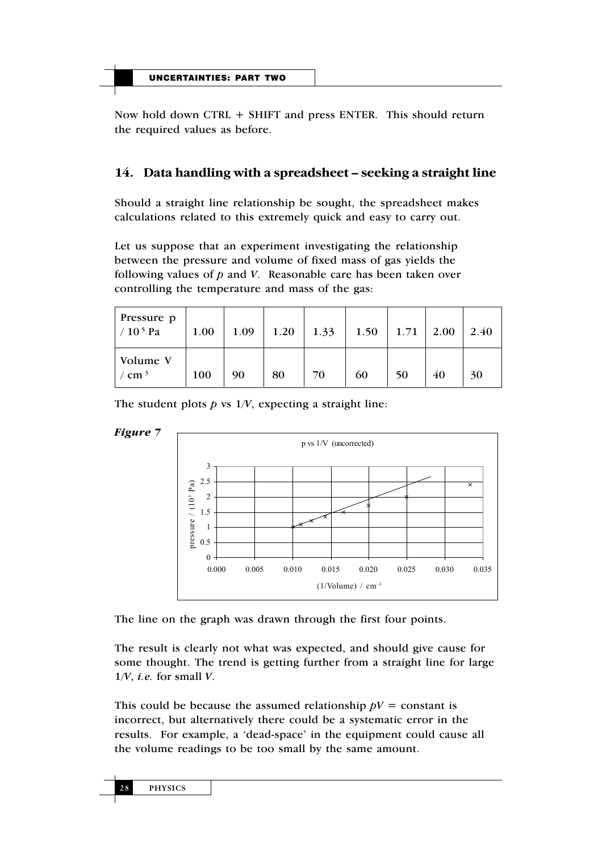Now hold down CTRL + SHIFT and press ENTER. This should return the required values as before.

## **14. Data handling with a spreadsheet – seeking a straight line**

Should a straight line relationship be sought, the spreadsheet makes calculations related to this extremely quick and easy to carry out.

Let us suppose that an experiment investigating the relationship between the pressure and volume of fixed mass of gas yields the following values of *p* and *V*. Reasonable care has been taken over controlling the temperature and mass of the gas:

| Pressure p<br>$/ 105$ Pa     | 1.00 | 1.09 | 1.20 | 1.33 | 1.50 | 1.71 | 2.00 | 2.40 |
|------------------------------|------|------|------|------|------|------|------|------|
| Volume V<br>$\sigma$ cm $^3$ | 100  | 90   | 80   | 70   | 60   | 50   | 40   | 30   |

The student plots  $p$  vs  $1/V$ , expecting a straight line:





The line on the graph was drawn through the first four points.

The result is clearly not what was expected, and should give cause for some thought. The trend is getting further from a straight line for large 1/*V*, *i.e.* for small *V*.

This could be because the assumed relationship  $pV = constant$  is incorrect, but alternatively there could be a systematic error in the results. For example, a 'dead-space' in the equipment could cause all the volume readings to be too small by the same amount.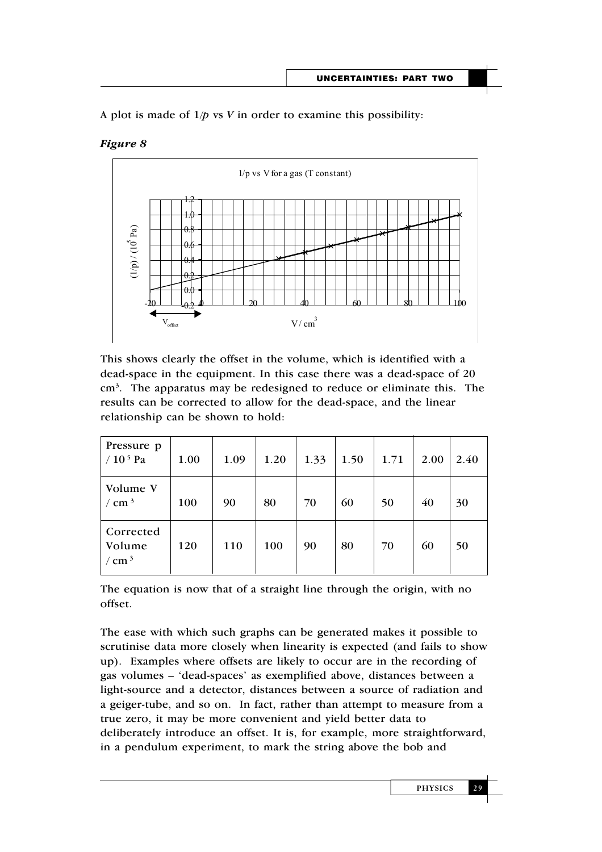A plot is made of 1/*p* vs *V* in order to examine this possibility:





This shows clearly the offset in the volume, which is identified with a dead-space in the equipment. In this case there was a dead-space of 20  $cm<sup>3</sup>$ . The apparatus may be redesigned to reduce or eliminate this. The results can be corrected to allow for the dead-space, and the linear relationship can be shown to hold:

| Pressure p<br>$/ 105$ Pa             | 1.00 | 1.09 | 1.20       | 1.33 | 1.50 | 1.71 | 2.00 | 2.40 |
|--------------------------------------|------|------|------------|------|------|------|------|------|
| Volume V<br>/ cm $^3$                | 100  | 90   | 80         | 70   | 60   | 50   | 40   | 30   |
| Corrected<br>Volume<br>$/$ cm $^{3}$ | 120  | 110  | <b>100</b> | 90   | 80   | 70   | 60   | 50   |

The equation is now that of a straight line through the origin, with no offset.

The ease with which such graphs can be generated makes it possible to scrutinise data more closely when linearity is expected (and fails to show up). Examples where offsets are likely to occur are in the recording of gas volumes – 'dead-spaces' as exemplified above, distances between a light-source and a detector, distances between a source of radiation and a geiger-tube, and so on. In fact, rather than attempt to measure from a true zero, it may be more convenient and yield better data to deliberately introduce an offset. It is, for example, more straightforward, in a pendulum experiment, to mark the string above the bob and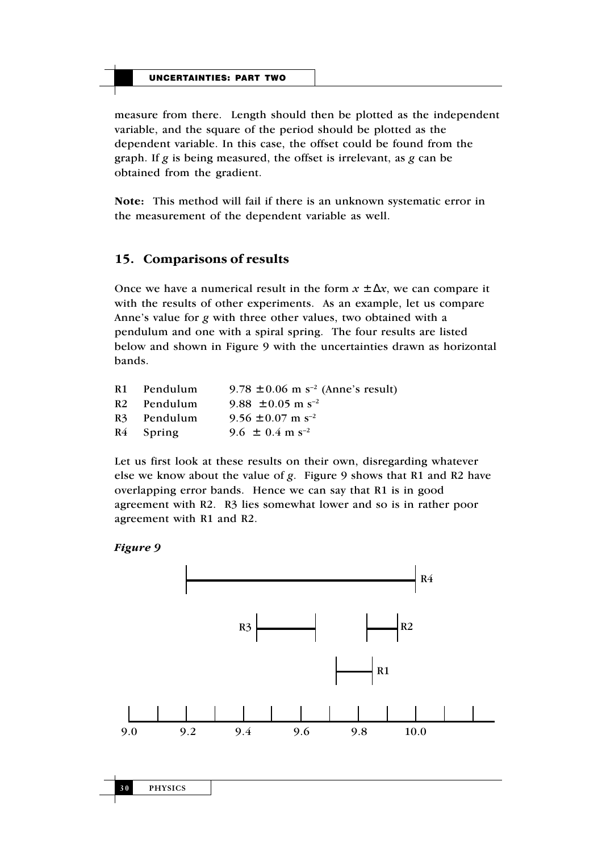UNCERTAINTIES: PART TWO

measure from there. Length should then be plotted as the independent variable, and the square of the period should be plotted as the dependent variable. In this case, the offset could be found from the graph. If *g* is being measured, the offset is irrelevant, as *g* can be obtained from the gradient.

**Note:** This method will fail if there is an unknown systematic error in the measurement of the dependent variable as well.

## **15. Comparisons of results**

Once we have a numerical result in the form  $x \pm \Delta x$ , we can compare it with the results of other experiments. As an example, let us compare Anne's value for *g* with three other values, two obtained with a pendulum and one with a spiral spring. The four results are listed below and shown in Figure 9 with the uncertainties drawn as horizontal bands.

| R1 Pendulum             | $9.78 \pm 0.06$ m s <sup>-2</sup> (Anne's result) |
|-------------------------|---------------------------------------------------|
| R <sub>2</sub> Pendulum | $9.88 \pm 0.05$ m s <sup>-2</sup>                 |
| R <sub>3</sub> Pendulum | $9.56 \pm 0.07$ m s <sup>-2</sup>                 |
| $R4$ Spring             | $9.6 \pm 0.4$ m s <sup>-2</sup>                   |

Let us first look at these results on their own, disregarding whatever else we know about the value of *g*. Figure 9 shows that R1 and R2 have overlapping error bands. Hence we can say that R1 is in good agreement with R2. R3 lies somewhat lower and so is in rather poor agreement with R1 and R2.

*Figure 9*

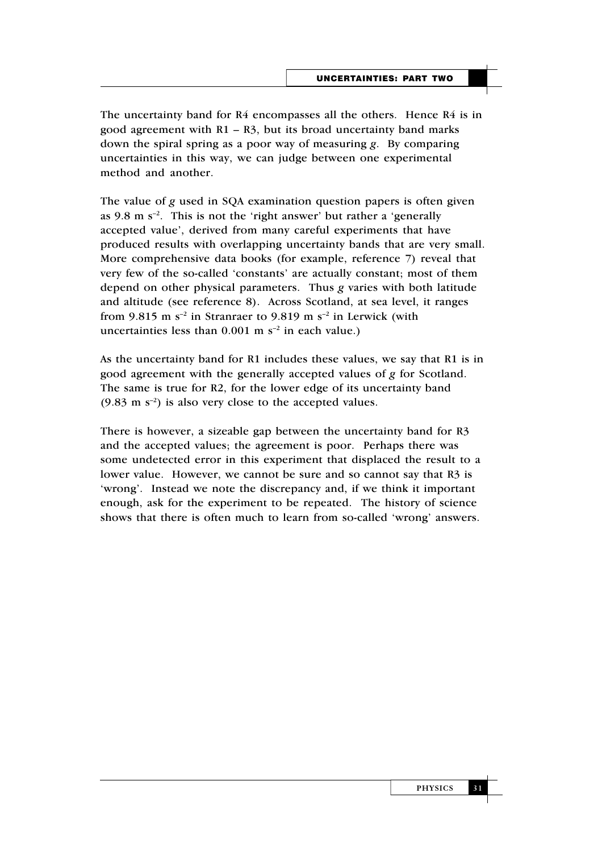The uncertainty band for R4 encompasses all the others. Hence R4 is in good agreement with R1 – R3, but its broad uncertainty band marks down the spiral spring as a poor way of measuring *g*. By comparing uncertainties in this way, we can judge between one experimental method and another.

The value of *g* used in SQA examination question papers is often given as  $9.8 \text{ m s}^{-2}$ . This is not the 'right answer' but rather a 'generally accepted value', derived from many careful experiments that have produced results with overlapping uncertainty bands that are very small. More comprehensive data books (for example, reference 7) reveal that very few of the so-called 'constants' are actually constant; most of them depend on other physical parameters. Thus *g* varies with both latitude and altitude (see reference 8). Across Scotland, at sea level, it ranges from 9.815 m  $s^{-2}$  in Stranraer to 9.819 m  $s^{-2}$  in Lerwick (with uncertainties less than  $0.001$  m s<sup>-2</sup> in each value.)

As the uncertainty band for R1 includes these values, we say that R1 is in good agreement with the generally accepted values of *g* for Scotland. The same is true for R2, for the lower edge of its uncertainty band  $(9.83 \text{ m s}^{-2})$  is also very close to the accepted values.

There is however, a sizeable gap between the uncertainty band for R3 and the accepted values; the agreement is poor. Perhaps there was some undetected error in this experiment that displaced the result to a lower value. However, we cannot be sure and so cannot say that R3 is 'wrong'. Instead we note the discrepancy and, if we think it important enough, ask for the experiment to be repeated. The history of science shows that there is often much to learn from so-called 'wrong' answers.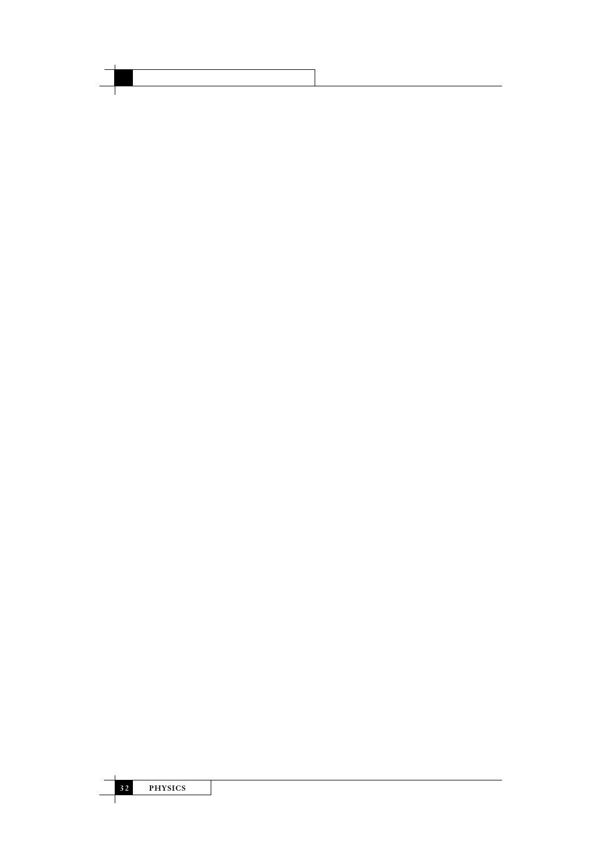|  | <b>PHYSICS</b> |  |
|--|----------------|--|
|  |                |  |

 $\overline{\phantom{0}}$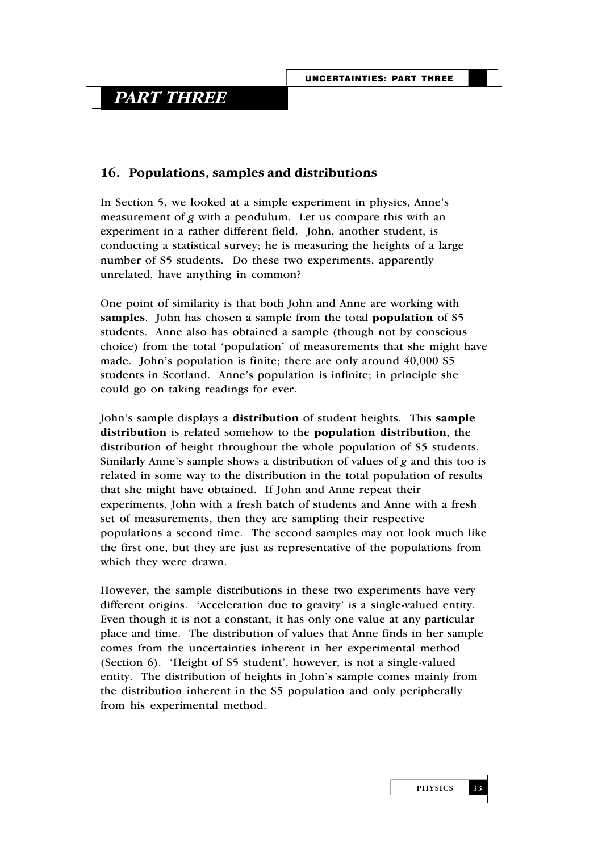# *PART THREE*

## **16. Populations, samples and distributions**

In Section 5, we looked at a simple experiment in physics, Anne's measurement of *g* with a pendulum. Let us compare this with an experiment in a rather different field. John, another student, is conducting a statistical survey; he is measuring the heights of a large number of S5 students. Do these two experiments, apparently unrelated, have anything in common?

One point of similarity is that both John and Anne are working with **samples**. John has chosen a sample from the total **population** of S5 students. Anne also has obtained a sample (though not by conscious choice) from the total 'population' of measurements that she might have made. John's population is finite; there are only around 40,000 S5 students in Scotland. Anne's population is infinite; in principle she could go on taking readings for ever.

John's sample displays a **distribution** of student heights. This **sample distribution** is related somehow to the **population distribution**, the distribution of height throughout the whole population of S5 students. Similarly Anne's sample shows a distribution of values of *g* and this too is related in some way to the distribution in the total population of results that she might have obtained. If John and Anne repeat their experiments, John with a fresh batch of students and Anne with a fresh set of measurements, then they are sampling their respective populations a second time. The second samples may not look much like the first one, but they are just as representative of the populations from which they were drawn.

However, the sample distributions in these two experiments have very different origins. 'Acceleration due to gravity' is a single-valued entity. Even though it is not a constant, it has only one value at any particular place and time. The distribution of values that Anne finds in her sample comes from the uncertainties inherent in her experimental method (Section 6). 'Height of S5 student', however, is not a single-valued entity. The distribution of heights in John's sample comes mainly from the distribution inherent in the S5 population and only peripherally from his experimental method.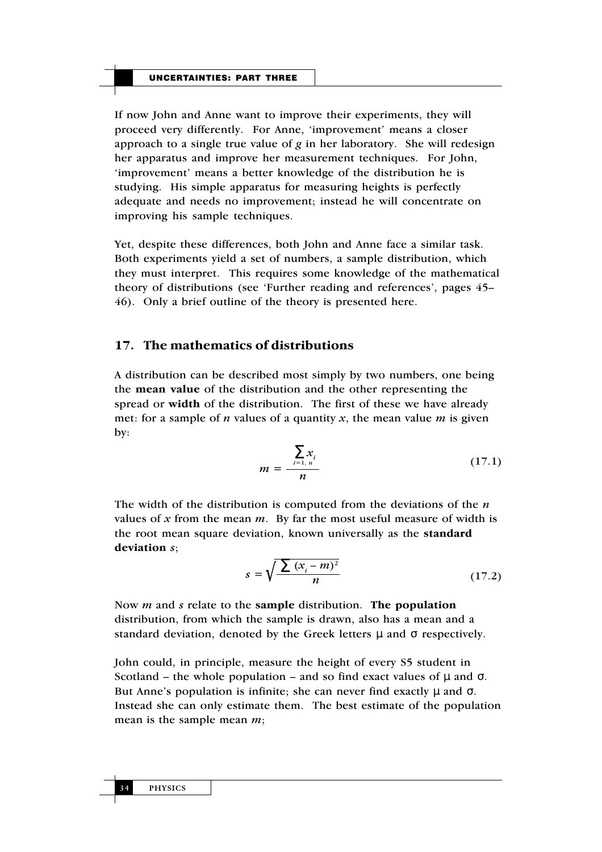UNCERTAINTIES: PART THREE

If now John and Anne want to improve their experiments, they will proceed very differently. For Anne, 'improvement' means a closer approach to a single true value of *g* in her laboratory. She will redesign her apparatus and improve her measurement techniques. For John, 'improvement' means a better knowledge of the distribution he is studying. His simple apparatus for measuring heights is perfectly adequate and needs no improvement; instead he will concentrate on improving his sample techniques.

Yet, despite these differences, both John and Anne face a similar task. Both experiments yield a set of numbers, a sample distribution, which they must interpret. This requires some knowledge of the mathematical theory of distributions (see 'Further reading and references', pages 45– 46). Only a brief outline of the theory is presented here.

## **17. The mathematics of distributions**

A distribution can be described most simply by two numbers, one being the **mean value** of the distribution and the other representing the spread or **width** of the distribution. The first of these we have already met: for a sample of *n* values of a quantity *x*, the mean value *m* is given by:

$$
m = \frac{\sum_{i=1, n} x_i}{n}
$$
 (17.1)

The width of the distribution is computed from the deviations of the *n* values of *x* from the mean *m*. By far the most useful measure of width is the root mean square deviation, known universally as the **standard deviation** *s*;

$$
s = \sqrt{\frac{\sum (x_i - m)^2}{n}} \tag{17.2}
$$

Now *m* and *s* relate to the **sample** distribution. **The population** distribution, from which the sample is drawn, also has a mean and a standard deviation, denoted by the Greek letters  $\mu$  and  $\sigma$  respectively.

John could, in principle, measure the height of every S5 student in Scotland – the whole population – and so find exact values of  $\mu$  and  $\sigma$ . But Anne's population is infinite; she can never find exactly  $\mu$  and  $\sigma$ . Instead she can only estimate them. The best estimate of the population mean is the sample mean *m*;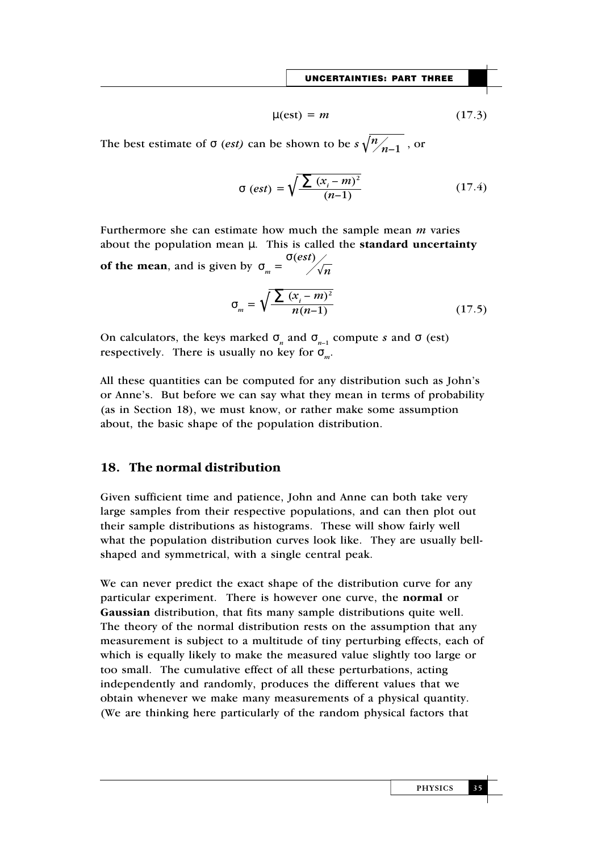$$
\mu(\text{est}) = m \tag{17.3}
$$

The best estimate of  $\sigma$  *(est)* can be shown to be  $s \sqrt{n/2n-1}$  , or

$$
\sigma\ (est) = \sqrt{\frac{\sum (x_i - m)^2}{(n-1)}}\tag{17.4}
$$

Furthermore she can estimate how much the sample mean *m* varies about the population mean µ. This is called the **standard uncertainty of the mean**, and is given by  $\sigma_m =$ σ(*est*) √*n*

$$
\sigma_m = \sqrt{\frac{\sum (x_i - m)^2}{n(n-1)}}\tag{17.5}
$$

On calculators, the keys marked  $σ_n$  and  $σ_{n-1}$  compute *s* and  $σ$  (est) respectively. There is usually no key for σ*m*.

All these quantities can be computed for any distribution such as John's or Anne's. But before we can say what they mean in terms of probability (as in Section 18), we must know, or rather make some assumption about, the basic shape of the population distribution.

## **18. The normal distribution**

Given sufficient time and patience, John and Anne can both take very large samples from their respective populations, and can then plot out their sample distributions as histograms. These will show fairly well what the population distribution curves look like. They are usually bellshaped and symmetrical, with a single central peak.

We can never predict the exact shape of the distribution curve for any particular experiment. There is however one curve, the **normal** or **Gaussian** distribution, that fits many sample distributions quite well. The theory of the normal distribution rests on the assumption that any measurement is subject to a multitude of tiny perturbing effects, each of which is equally likely to make the measured value slightly too large or too small. The cumulative effect of all these perturbations, acting independently and randomly, produces the different values that we obtain whenever we make many measurements of a physical quantity. (We are thinking here particularly of the random physical factors that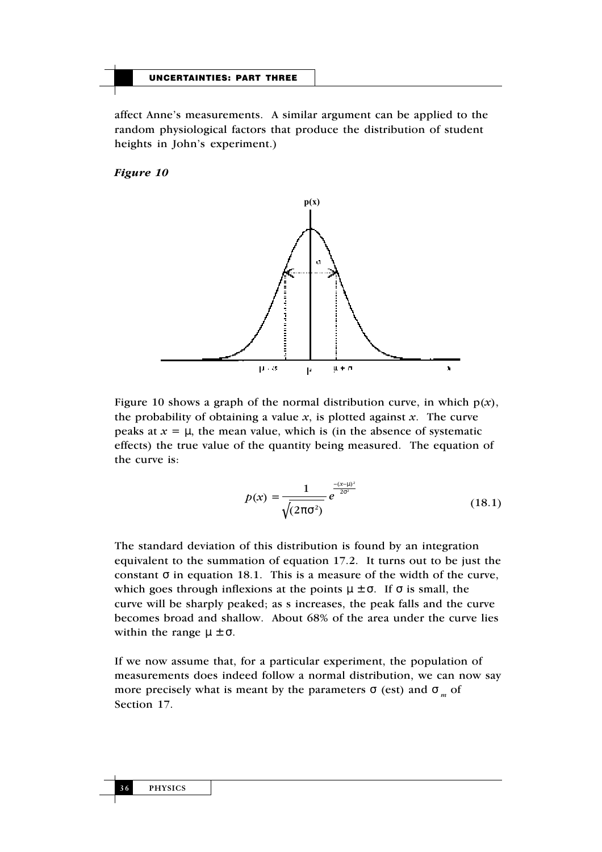#### UNCERTAINTIES: PART THREE

affect Anne's measurements. A similar argument can be applied to the random physiological factors that produce the distribution of student heights in John's experiment.)

*Figure 10*



Figure 10 shows a graph of the normal distribution curve, in which  $p(x)$ , the probability of obtaining a value  $x$ , is plotted against  $x$ . The curve peaks at  $x = \mu$ , the mean value, which is (in the absence of systematic effects) the true value of the quantity being measured. The equation of the curve is:

$$
p(x) = \frac{1}{\sqrt{(2\pi\sigma^2)}} e^{\frac{-(x-\mu)^2}{2\sigma^2}}
$$
 (18.1)

The standard deviation of this distribution is found by an integration equivalent to the summation of equation 17.2. It turns out to be just the constant  $\sigma$  in equation 18.1. This is a measure of the width of the curve, which goes through inflexions at the points  $\mu \pm \sigma$ . If  $\sigma$  is small, the curve will be sharply peaked; as s increases, the peak falls and the curve becomes broad and shallow. About 68% of the area under the curve lies within the range  $\mu \pm \sigma$ .

If we now assume that, for a particular experiment, the population of measurements does indeed follow a normal distribution, we can now say more precisely what is meant by the parameters σ (est) and σ *m* of Section 17.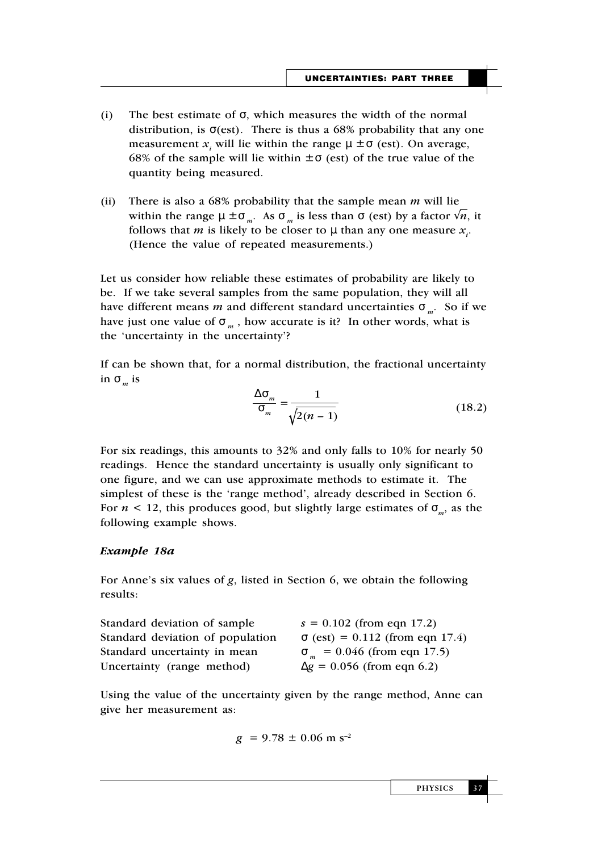- (i) The best estimate of  $\sigma$ , which measures the width of the normal distribution, is  $\sigma(\text{est})$ . There is thus a 68% probability that any one measurement  $x_i$  will lie within the range  $\mu \pm \sigma$  (est). On average, 68% of the sample will lie within  $\pm \sigma$  (est) of the true value of the quantity being measured.
- (ii) There is also a 68% probability that the sample mean *m* will lie within the range  $\mu \pm \sigma_m$ . As  $\sigma_m$  is less than  $\sigma$  (est) by a factor  $\sqrt{n}$ , it follows that  $m$  is likely to be closer to  $\mu$  than any one measure  $x_i$ . (Hence the value of repeated measurements.)

Let us consider how reliable these estimates of probability are likely to be. If we take several samples from the same population, they will all have different means *m* and different standard uncertainties σ<sub>*m*</sub>. So if we have just one value of  $\sigma_m$ , how accurate is it? In other words, what is the 'uncertainty in the uncertainty'?

If can be shown that, for a normal distribution, the fractional uncertainty in  $\sigma_m$  is

$$
\frac{\Delta \sigma_m}{\sigma_m} = \frac{1}{\sqrt{2(n-1)}}\tag{18.2}
$$

For six readings, this amounts to 32% and only falls to 10% for nearly 50 readings. Hence the standard uncertainty is usually only significant to one figure, and we can use approximate methods to estimate it. The simplest of these is the 'range method', already described in Section 6. For  $n < 12$ , this produces good, but slightly large estimates of  $\sigma_m$ , as the following example shows.

#### *Example 18a*

For Anne's six values of *g*, listed in Section 6, we obtain the following results:

| Standard deviation of sample     | $s = 0.102$ (from eqn 17.2)            |
|----------------------------------|----------------------------------------|
| Standard deviation of population | $\sigma$ (est) = 0.112 (from eqn 17.4) |
| Standard uncertainty in mean     | $\sigma_{m}$ = 0.046 (from eqn 17.5)   |
| Uncertainty (range method)       | $\Delta g = 0.056$ (from eqn 6.2)      |

Using the value of the uncertainty given by the range method, Anne can give her measurement as:

$$
g = 9.78 \pm 0.06
$$
 m s<sup>-2</sup>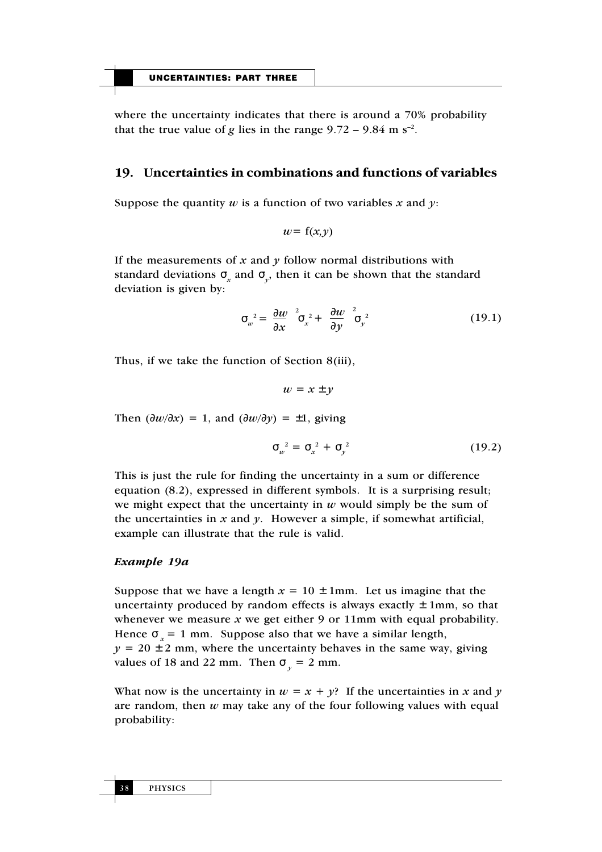where the uncertainty indicates that there is around a 70% probability that the true value of *g* lies in the range  $9.72 - 9.84$  m s<sup>-2</sup>.

## **19. Uncertainties in combinations and functions of variables**

Suppose the quantity  $w$  is a function of two variables  $x$  and  $y$ .

$$
w = f(x, y)
$$

If the measurements of  $x$  and  $y$  follow normal distributions with standard deviations  $\sigma_{\rm x}$  and  $\sigma_{\rm y}$ , then it can be shown that the standard deviation is given by:

$$
\sigma_w^2 = \left(\frac{\partial w}{\partial x}\right)^2 \sigma_x^2 + \left(\frac{\partial w}{\partial y}\right)^2 \sigma_y^2 \tag{19.1}
$$

Thus, if we take the function of Section 8(iii),

 $w = x \pm y$ 

Then  $(\partial w/\partial x) = 1$ , and  $(\partial w/\partial y) = \pm 1$ , giving

$$
\sigma_w^2 = \sigma_x^2 + \sigma_y^2 \tag{19.2}
$$

This is just the rule for finding the uncertainty in a sum or difference equation (8.2), expressed in different symbols. It is a surprising result; we might expect that the uncertainty in *w* would simply be the sum of the uncertainties in  $x$  and  $y$ . However a simple, if somewhat artificial, example can illustrate that the rule is valid.

## *Example 19a*

Suppose that we have a length  $x = 10 \pm 1$  mm. Let us imagine that the uncertainty produced by random effects is always exactly  $\pm 1$ mm, so that whenever we measure  $x$  we get either  $9$  or 11mm with equal probability. Hence  $\sigma_r = 1$  mm. Suppose also that we have a similar length,  $y = 20 \pm 2$  mm, where the uncertainty behaves in the same way, giving values of 18 and 22 mm. Then  $\sigma_y = 2$  mm.

What now is the uncertainty in  $w = x + y$ ? If the uncertainties in *x* and *y* are random, then *w* may take any of the four following values with equal probability: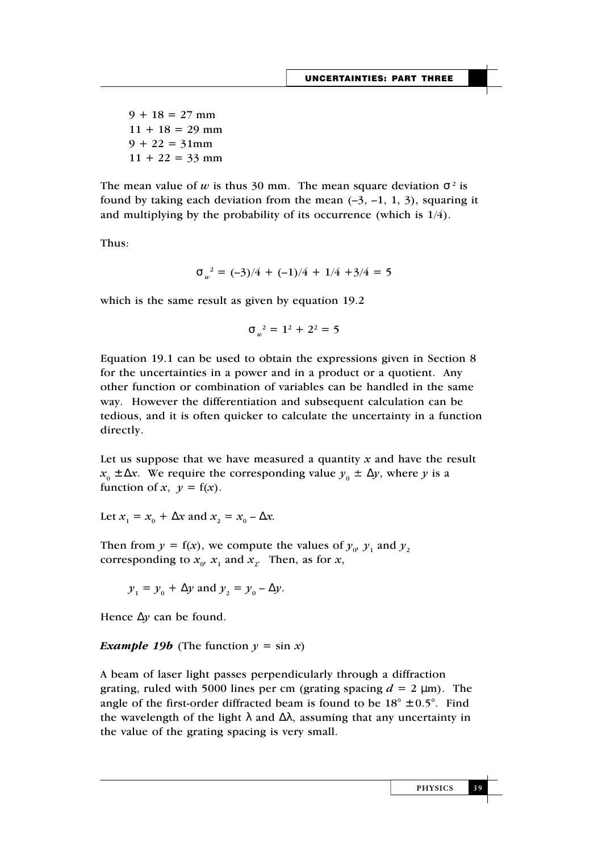$9 + 18 = 27$  mm  $11 + 18 = 29$  mm  $9 + 22 = 31$ mm  $11 + 22 = 33$  mm

The mean value of *w* is thus 30 mm. The mean square deviation  $\sigma^2$  is found by taking each deviation from the mean  $(-3, -1, 1, 3)$ , squaring it and multiplying by the probability of its occurrence (which is 1/4).

Thus:

$$
\sigma_w^2 = (-3)/4 + (-1)/4 + 1/4 + 3/4 = 5
$$

which is the same result as given by equation 19.2

$$
\sigma_w^2 = 1^2 + 2^2 = 5
$$

Equation 19.1 can be used to obtain the expressions given in Section 8 for the uncertainties in a power and in a product or a quotient. Any other function or combination of variables can be handled in the same way. However the differentiation and subsequent calculation can be tedious, and it is often quicker to calculate the uncertainty in a function directly.

Let us suppose that we have measured a quantity  $x$  and have the result  $x_0 \pm \Delta x$ . We require the corresponding value  $y_0 \pm \Delta y$ , where *y* is a function of  $x$ ,  $y = f(x)$ .

Let  $x_1 = x_0 + \Delta x$  and  $x_2 = x_0 - \Delta x$ .

Then from  $y = f(x)$ , we compute the values of  $y_0$ ,  $y_1$  and  $y_2$ corresponding to  $x_0$ ,  $x_1$  and  $x_2$ . Then, as for *x*,

 $y_1 = y_0 + \Delta y$  and  $y_2 = y_0 - \Delta y$ .

Hence ∆*y* can be found.

*Example 19b* (The function  $y = \sin x$ )

A beam of laser light passes perpendicularly through a diffraction grating, ruled with 5000 lines per cm (grating spacing  $d = 2 \mu m$ ). The angle of the first-order diffracted beam is found to be  $18^{\circ} \pm 0.5^{\circ}$ . Find the wavelength of the light  $\lambda$  and  $\Delta\lambda$ , assuming that any uncertainty in the value of the grating spacing is very small.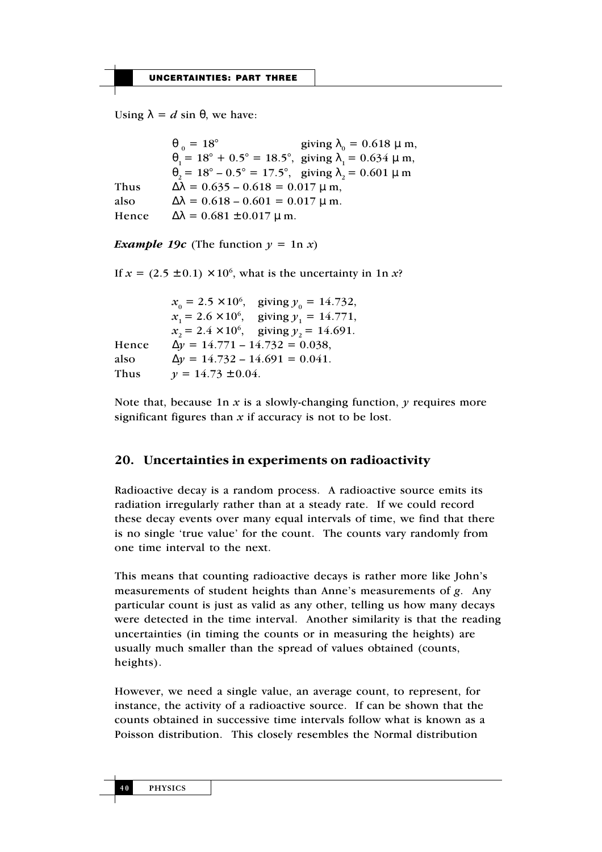Using  $\lambda = d \sin \theta$ , we have:

 $\theta_0 = 18^\circ$  giving  $\lambda_0 = 0.618 \mu \text{ m}$ ,  $\theta_1 = 18^\circ + 0.5^\circ = 18.5^\circ$ , giving  $\lambda_1 = 0.634 \mu$  m,  $\theta_2 = 18^\circ - 0.5^\circ = 17.5^\circ$ , giving  $\lambda_2 = 0.601 \,\mu$  m Thus  $\Delta\lambda = 0.635 - 0.618 = 0.017 \,\mu \text{ m}$ , also  $\Delta\lambda = 0.618 - 0.601 = 0.017 \,\mu \text{ m}.$ Hence  $\Delta\lambda = 0.681 \pm 0.017 \,\mu$  m.

*Example 19c* (The function  $y = \ln x$ )

If  $x = (2.5 \pm 0.1) \times 10^6$ , what is the uncertainty in 1n *x*?

| $x_0 = 2.5 \times 10^6$ , giving $y_0 = 14.732$ , |
|---------------------------------------------------|
| $x_1 = 2.6 \times 10^6$ , giving $y_1 = 14.771$ , |
| $x_0 = 2.4 \times 10^6$ , giving $y_0 = 14.691$ . |
| $\Delta y = 14.771 - 14.732 = 0.038,$             |
| $\Delta y = 14.732 - 14.691 = 0.041.$             |
| $y = 14.73 \pm 0.04.$                             |
|                                                   |

Note that, because 1n  $x$  is a slowly-changing function,  $y$  requires more significant figures than  $x$  if accuracy is not to be lost.

## **20. Uncertainties in experiments on radioactivity**

Radioactive decay is a random process. A radioactive source emits its radiation irregularly rather than at a steady rate. If we could record these decay events over many equal intervals of time, we find that there is no single 'true value' for the count. The counts vary randomly from one time interval to the next.

This means that counting radioactive decays is rather more like John's measurements of student heights than Anne's measurements of *g*. Any particular count is just as valid as any other, telling us how many decays were detected in the time interval. Another similarity is that the reading uncertainties (in timing the counts or in measuring the heights) are usually much smaller than the spread of values obtained (counts, heights).

However, we need a single value, an average count, to represent, for instance, the activity of a radioactive source. If can be shown that the counts obtained in successive time intervals follow what is known as a Poisson distribution. This closely resembles the Normal distribution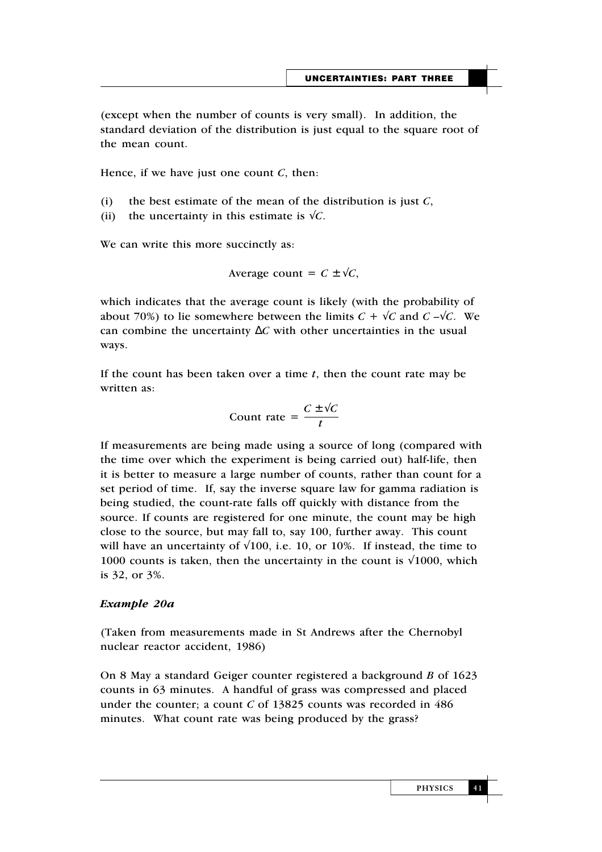(except when the number of counts is very small). In addition, the standard deviation of the distribution is just equal to the square root of the mean count.

Hence, if we have just one count *C*, then:

- (i) the best estimate of the mean of the distribution is just  $C$ ,
- (ii) the uncertainty in this estimate is  $\sqrt{C}$ .

We can write this more succinctly as:

Average count =  $C \pm \sqrt{C}$ ,

which indicates that the average count is likely (with the probability of about 70%) to lie somewhere between the limits  $C + \sqrt{C}$  and  $C - \sqrt{C}$ . We can combine the uncertainty ∆*C* with other uncertainties in the usual ways.

If the count has been taken over a time *t*, then the count rate may be written as:

> Count rate =  $\frac{C \pm \sqrt{C}}{t}$ *t*

If measurements are being made using a source of long (compared with the time over which the experiment is being carried out) half-life, then it is better to measure a large number of counts, rather than count for a set period of time. If, say the inverse square law for gamma radiation is being studied, the count-rate falls off quickly with distance from the source. If counts are registered for one minute, the count may be high close to the source, but may fall to, say 100, further away. This count will have an uncertainty of  $\sqrt{100}$ , i.e. 10, or 10%. If instead, the time to 1000 counts is taken, then the uncertainty in the count is  $\sqrt{1000}$ , which is 32, or 3%.

## *Example 20a*

(Taken from measurements made in St Andrews after the Chernobyl nuclear reactor accident, 1986)

On 8 May a standard Geiger counter registered a background *B* of 1623 counts in 63 minutes. A handful of grass was compressed and placed under the counter; a count *C* of 13825 counts was recorded in 486 minutes. What count rate was being produced by the grass?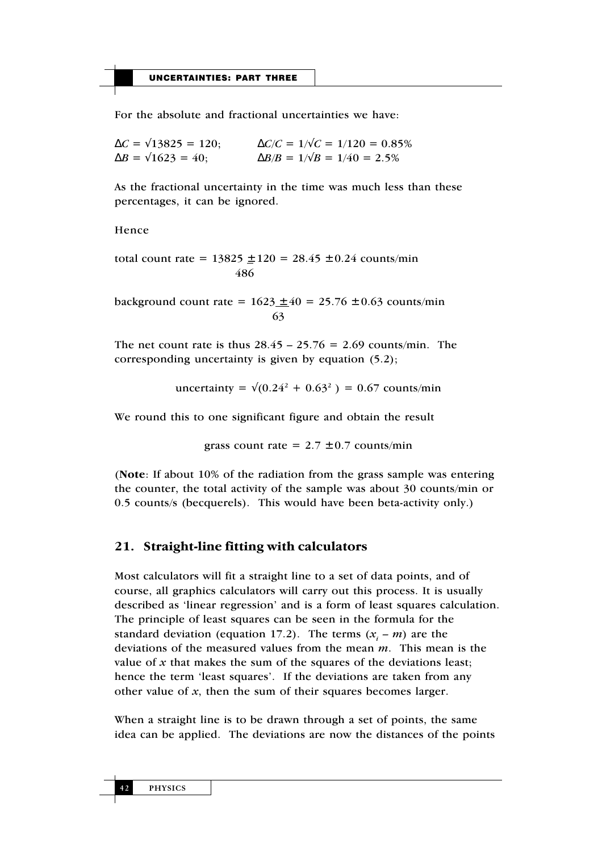For the absolute and fractional uncertainties we have:

 $\Delta C = \sqrt{13825} = 120;$   $\Delta C/C = 1/\sqrt{C} = 1/120 = 0.85\%$  $\Delta B = \sqrt{1623} = 40;$   $\Delta B/B = 1/\sqrt{B} = 1/40 = 2.5\%$ 

As the fractional uncertainty in the time was much less than these percentages, it can be ignored.

Hence

total count rate =  $13825 \pm 120 = 28.45 \pm 0.24$  counts/min 486

background count rate =  $1623 \pm 40 = 25.76 \pm 0.63$  counts/min 63

The net count rate is thus  $28.45 - 25.76 = 2.69$  counts/min. The corresponding uncertainty is given by equation (5.2);

uncertainty = 
$$
\sqrt{(0.24^2 + 0.63^2)} = 0.67
$$
 counts/min

We round this to one significant figure and obtain the result

grass count rate =  $2.7 \pm 0.7$  counts/min

(**Note**: If about 10% of the radiation from the grass sample was entering the counter, the total activity of the sample was about 30 counts/min or 0.5 counts/s (becquerels). This would have been beta-activity only.)

## **21. Straight-line fitting with calculators**

Most calculators will fit a straight line to a set of data points, and of course, all graphics calculators will carry out this process. It is usually described as 'linear regression' and is a form of least squares calculation. The principle of least squares can be seen in the formula for the standard deviation (equation 17.2). The terms  $(x_i - m)$  are the deviations of the measured values from the mean *m*. This mean is the value of  $x$  that makes the sum of the squares of the deviations least; hence the term 'least squares'. If the deviations are taken from any other value of *x*, then the sum of their squares becomes larger.

When a straight line is to be drawn through a set of points, the same idea can be applied. The deviations are now the distances of the points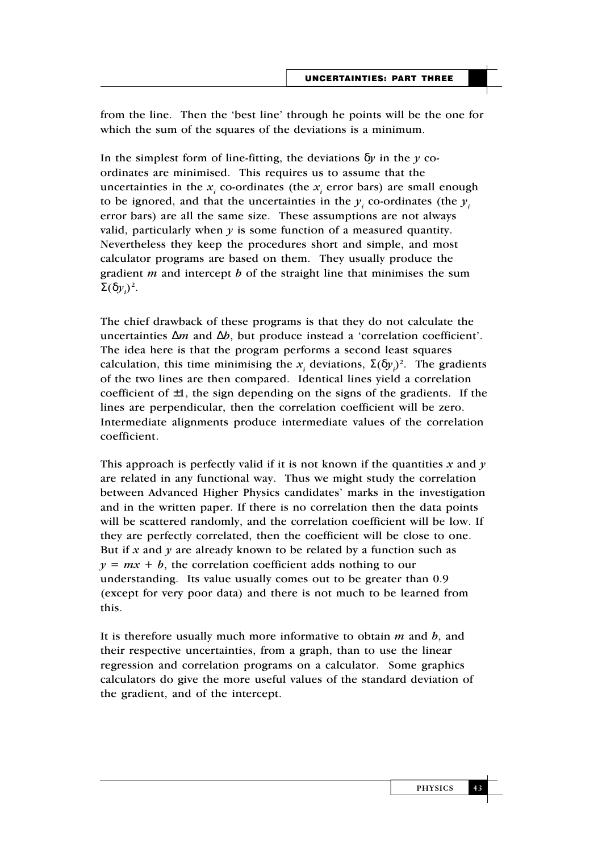In the simplest form of line-fitting, the deviations δ*y* in the *y* coordinates are minimised. This requires us to assume that the uncertainties in the  $x_i$  co-ordinates (the  $x_i$  error bars) are small enough to be ignored, and that the uncertainties in the  $y_i$  co-ordinates (the  $y_i$ error bars) are all the same size. These assumptions are not always valid, particularly when  $y$  is some function of a measured quantity. Nevertheless they keep the procedures short and simple, and most calculator programs are based on them. They usually produce the gradient *m* and intercept *b* of the straight line that minimises the sum  $\Sigma$ (δ*y*<sub>*i*</sub>)<sup>2</sup>.

The chief drawback of these programs is that they do not calculate the uncertainties ∆*m* and ∆*b*, but produce instead a 'correlation coefficient'. The idea here is that the program performs a second least squares calculation, this time minimising the  $x_i$  deviations,  $\Sigma$ (δ $y_i$ )<sup>2</sup>. The gradients of the two lines are then compared. Identical lines yield a correlation coefficient of  $\pm 1$ , the sign depending on the signs of the gradients. If the lines are perpendicular, then the correlation coefficient will be zero. Intermediate alignments produce intermediate values of the correlation coefficient.

This approach is perfectly valid if it is not known if the quantities  $x$  and  $y$ are related in any functional way. Thus we might study the correlation between Advanced Higher Physics candidates' marks in the investigation and in the written paper. If there is no correlation then the data points will be scattered randomly, and the correlation coefficient will be low. If they are perfectly correlated, then the coefficient will be close to one. But if *x* and  $\gamma$  are already known to be related by a function such as  $y = mx + b$ , the correlation coefficient adds nothing to our understanding. Its value usually comes out to be greater than 0.9 (except for very poor data) and there is not much to be learned from this.

It is therefore usually much more informative to obtain *m* and *b*, and their respective uncertainties, from a graph, than to use the linear regression and correlation programs on a calculator. Some graphics calculators do give the more useful values of the standard deviation of the gradient, and of the intercept.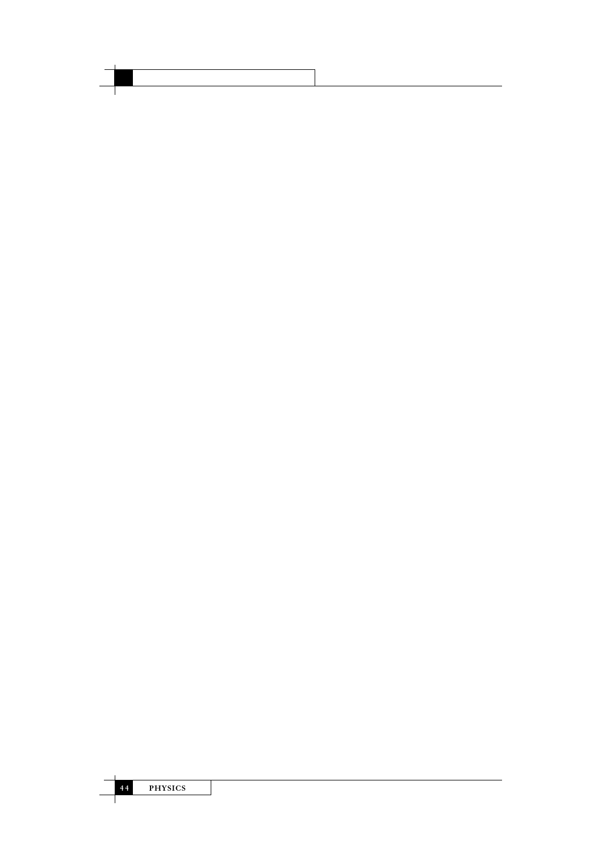| t | <b>PHYSICS</b> |  |  |
|---|----------------|--|--|
|   |                |  |  |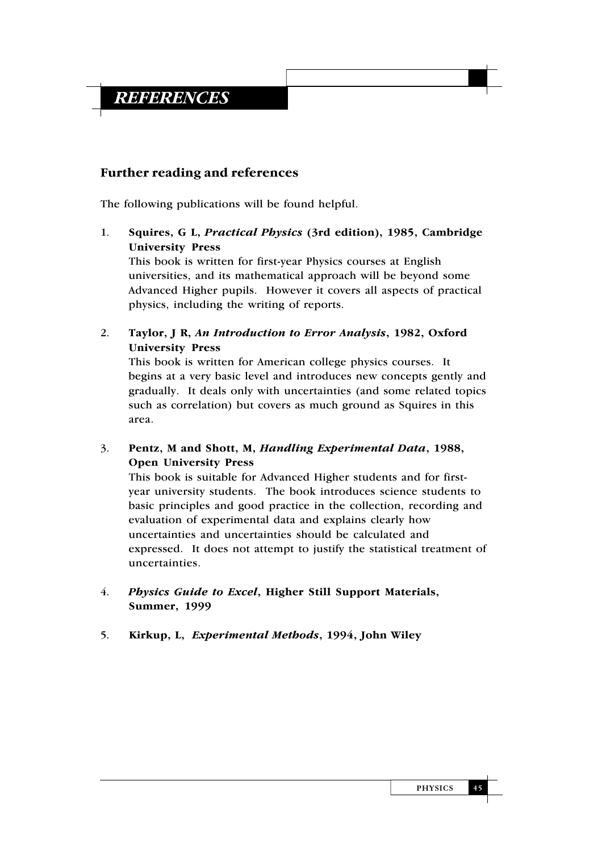# *REFERENCES*

## **Further reading and references**

The following publications will be found helpful.

1. **Squires, G L,** *Practical Physics* **(3rd edition), 1985, Cambridge University Press**

This book is written for first-year Physics courses at English universities, and its mathematical approach will be beyond some Advanced Higher pupils. However it covers all aspects of practical physics, including the writing of reports.

2. **Taylor, J R,** *An Introduction to Error Analysis***, 1982, Oxford University Press**

This book is written for American college physics courses. It begins at a very basic level and introduces new concepts gently and gradually. It deals only with uncertainties (and some related topics such as correlation) but covers as much ground as Squires in this area.

3. **Pentz, M and Shott, M,** *Handling Experimental Data***, 1988, Open University Press**

This book is suitable for Advanced Higher students and for firstyear university students. The book introduces science students to basic principles and good practice in the collection, recording and evaluation of experimental data and explains clearly how uncertainties and uncertainties should be calculated and expressed. It does not attempt to justify the statistical treatment of uncertainties.

- 4. *Physics Guide to Excel***, Higher Still Support Materials, Summer, 1999**
- 5. **Kirkup, L,** *Experimental Methods***, 1994, John Wiley**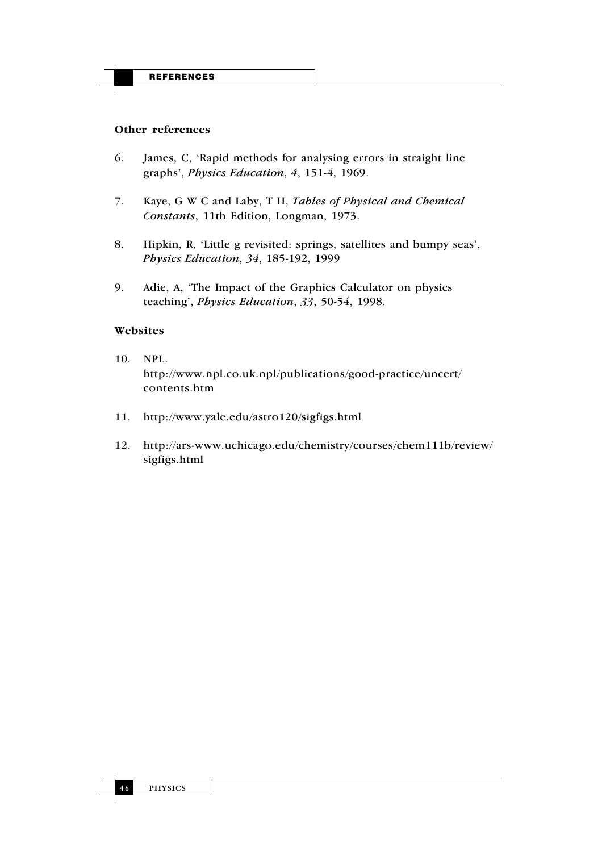## **Other references**

- 6. James, C, 'Rapid methods for analysing errors in straight line graphs', *Physics Education*, *4*, 151-4, 1969.
- 7. Kaye, G W C and Laby, T H, *Tables of Physical and Chemical Constants*, 11th Edition, Longman, 1973.
- 8. Hipkin, R, 'Little g revisited: springs, satellites and bumpy seas', *Physics Education*, *34*, 185-192, 1999
- 9. Adie, A, 'The Impact of the Graphics Calculator on physics teaching', *Physics Education*, *33*, 50-54, 1998.

## **Websites**

- 10. NPL. http://www.npl.co.uk.npl/publications/good-practice/uncert/ contents.htm
- 11. http://www.yale.edu/astro120/sigfigs.html
- 12. http://ars-www.uchicago.edu/chemistry/courses/chem111b/review/ sigfigs.html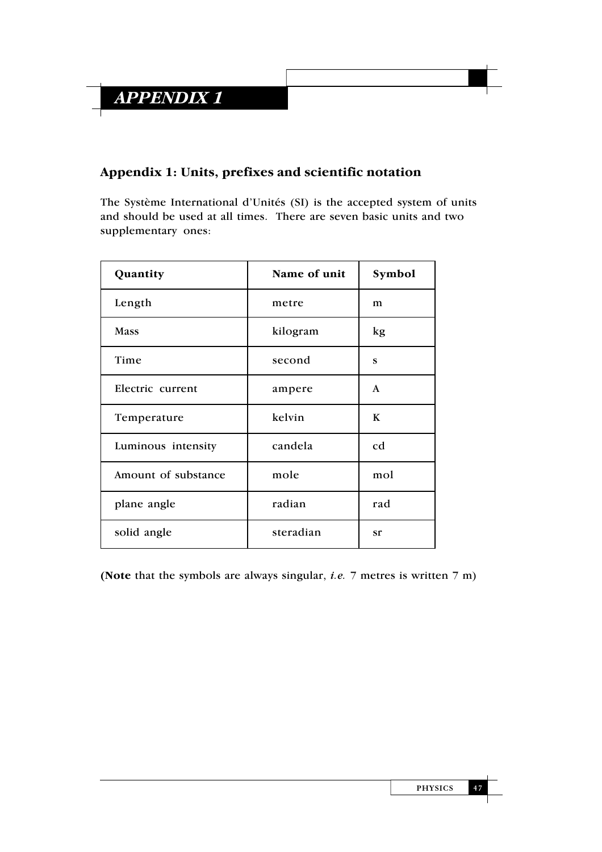# *APPENDIX 1*

# **Appendix 1: Units, prefixes and scientific notation**

The Système International d'Unités (SI) is the accepted system of units and should be used at all times. There are seven basic units and two supplementary ones:

| Quantity            | Name of unit | Symbol       |  |
|---------------------|--------------|--------------|--|
| Length              | metre        | m            |  |
| <b>Mass</b>         | kilogram     | kg           |  |
| Time                | second       | S            |  |
| Electric current    | ampere       | $\mathbf{A}$ |  |
| Temperature         | kelvin       | K            |  |
| Luminous intensity  | candela      | cd           |  |
| Amount of substance | mole         | mol          |  |
| plane angle         | radian       | rad          |  |
| solid angle         | steradian    | <b>Sr</b>    |  |

**(Note** that the symbols are always singular, *i.e.* 7 metres is written 7 m)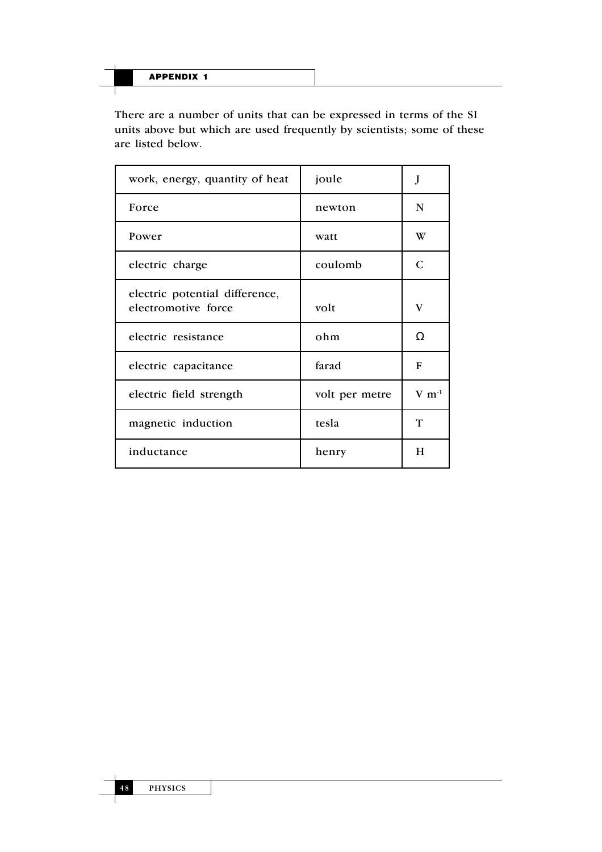#### APPENDIX 1

There are a number of units that can be expressed in terms of the SI units above but which are used frequently by scientists; some of these are listed below.

| work, energy, quantity of heat                        | joule          | J                   |
|-------------------------------------------------------|----------------|---------------------|
| Force                                                 | newton         | N                   |
| Power                                                 | watt           | W                   |
| electric charge                                       | coulomb        | C                   |
| electric potential difference,<br>electromotive force | volt           | V                   |
| electric resistance                                   | ohm            | Ω                   |
| electric capacitance                                  | farad          | F                   |
| electric field strength                               | volt per metre | $V$ m <sup>-1</sup> |
| magnetic induction                                    | tesla          | T                   |
| inductance                                            | henry          | H                   |